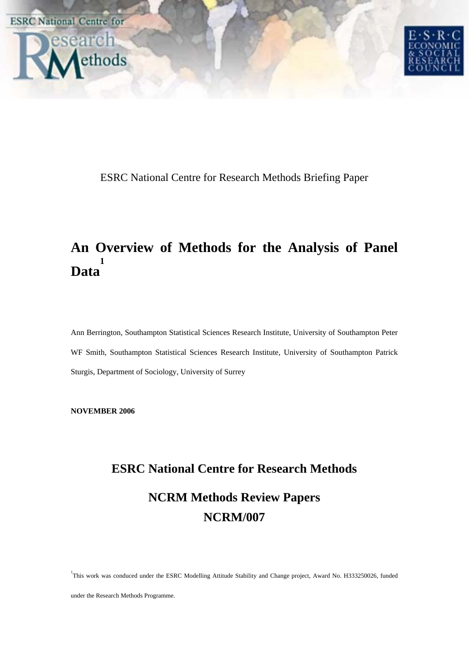

ESRC National Centre for Research Methods Briefing Paper

### **An Overview of Methods for the Analysis of Panel Data 1**

Ann Berrington, Southampton Statistical Sciences Research Institute, University of Southampton Peter WF Smith, Southampton Statistical Sciences Research Institute, University of Southampton Patrick Sturgis, Department of Sociology, University of Surrey

**NOVEMBER 2006** 

# **ESRC National Centre for Research Methods NCRM Methods Review Papers NCRM/007**

<sup>1</sup>This work was conduced under the ESRC Modelling Attitude Stability and Change project, Award No. H333250026, funded

under the Research Methods Programme.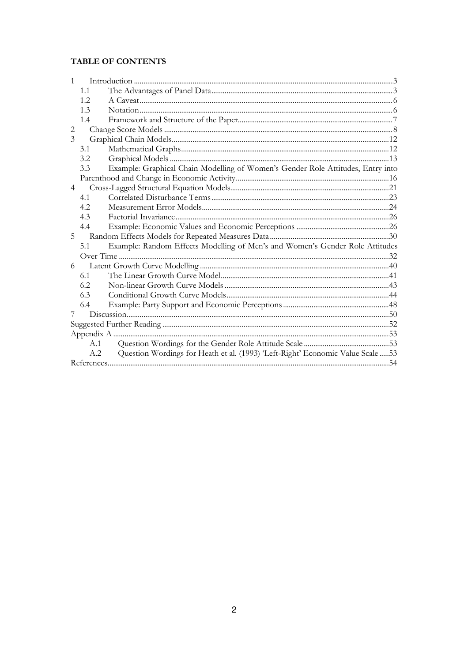### TABLE OF CONTENTS

| $\mathbf{1}$   |      |                                                                                 |     |
|----------------|------|---------------------------------------------------------------------------------|-----|
|                | 1.1  |                                                                                 |     |
|                | 1.2. |                                                                                 |     |
|                | 1.3  |                                                                                 |     |
|                | 1.4  |                                                                                 |     |
| $\overline{2}$ |      |                                                                                 |     |
| 3              |      |                                                                                 |     |
|                | 3.1  |                                                                                 |     |
|                | 3.2  |                                                                                 |     |
|                | 3.3  | Example: Graphical Chain Modelling of Women's Gender Role Attitudes, Entry into |     |
|                |      |                                                                                 |     |
| $\overline{4}$ |      |                                                                                 |     |
|                | 4.1  |                                                                                 |     |
|                | 4.2. |                                                                                 |     |
|                | 4.3  |                                                                                 |     |
|                | 4.4  |                                                                                 |     |
| 5              |      |                                                                                 |     |
|                | 5.1  | Example: Random Effects Modelling of Men's and Women's Gender Role Attitudes    |     |
|                |      |                                                                                 |     |
| 6              |      |                                                                                 |     |
|                | 6.1  |                                                                                 |     |
|                | 6.2  |                                                                                 |     |
|                | 6.3  |                                                                                 |     |
|                | 6.4  |                                                                                 |     |
| 7              |      |                                                                                 |     |
|                |      |                                                                                 |     |
|                |      |                                                                                 |     |
|                | A.1  |                                                                                 |     |
|                | A.2  | Question Wordings for Heath et al. (1993) 'Left-Right' Economic Value Scale  53 |     |
|                |      |                                                                                 | .54 |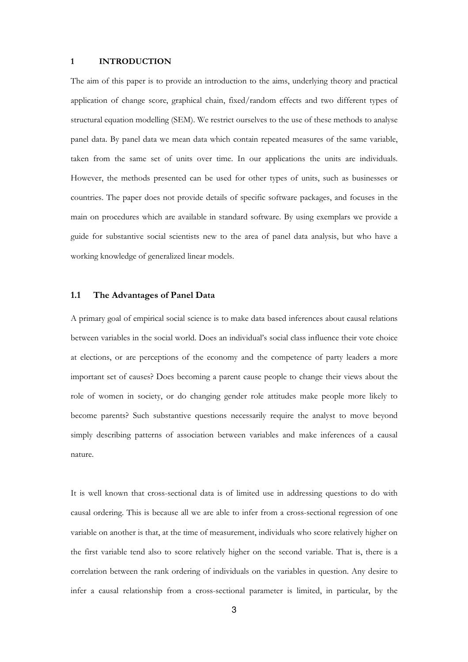#### 1 INTRODUCTION

The aim of this paper is to provide an introduction to the aims, underlying theory and practical application of change score, graphical chain, fixed/random effects and two different types of structural equation modelling (SEM). We restrict ourselves to the use of these methods to analyse panel data. By panel data we mean data which contain repeated measures of the same variable, taken from the same set of units over time. In our applications the units are individuals. However, the methods presented can be used for other types of units, such as businesses or countries. The paper does not provide details of specific software packages, and focuses in the main on procedures which are available in standard software. By using exemplars we provide a guide for substantive social scientists new to the area of panel data analysis, but who have a working knowledge of generalized linear models.

#### 1.1 The Advantages of Panel Data

A primary goal of empirical social science is to make data based inferences about causal relations between variables in the social world. Does an individual's social class influence their vote choice at elections, or are perceptions of the economy and the competence of party leaders a more important set of causes? Does becoming a parent cause people to change their views about the role of women in society, or do changing gender role attitudes make people more likely to become parents? Such substantive questions necessarily require the analyst to move beyond simply describing patterns of association between variables and make inferences of a causal nature.

It is well known that cross-sectional data is of limited use in addressing questions to do with causal ordering. This is because all we are able to infer from a cross-sectional regression of one variable on another is that, at the time of measurement, individuals who score relatively higher on the first variable tend also to score relatively higher on the second variable. That is, there is a correlation between the rank ordering of individuals on the variables in question. Any desire to infer a causal relationship from a cross-sectional parameter is limited, in particular, by the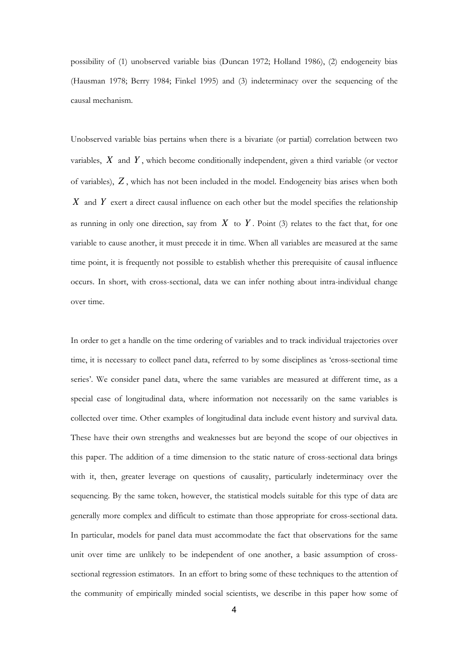possibility of (1) unobserved variable bias (Duncan 1972; Holland 1986), (2) endogeneity bias (Hausman 1978; Berry 1984; Finkel 1995) and (3) indeterminacy over the sequencing of the causal mechanism.

Unobserved variable bias pertains when there is a bivariate (or partial) correlation between two variables, *X* and *Y* , which become conditionally independent, given a third variable (or vector of variables), *Z* , which has not been included in the model. Endogeneity bias arises when both *X* and *Y* exert a direct causal influence on each other but the model specifies the relationship as running in only one direction, say from  $X$  to  $Y$ . Point (3) relates to the fact that, for one variable to cause another, it must precede it in time. When all variables are measured at the same time point, it is frequently not possible to establish whether this prerequisite of causal influence occurs. In short, with cross-sectional, data we can infer nothing about intra-individual change over time.

In order to get a handle on the time ordering of variables and to track individual trajectories over time, it is necessary to collect panel data, referred to by some disciplines as 'cross-sectional time series'. We consider panel data, where the same variables are measured at different time, as a special case of longitudinal data, where information not necessarily on the same variables is collected over time. Other examples of longitudinal data include event history and survival data. These have their own strengths and weaknesses but are beyond the scope of our objectives in this paper. The addition of a time dimension to the static nature of cross-sectional data brings with it, then, greater leverage on questions of causality, particularly indeterminacy over the sequencing. By the same token, however, the statistical models suitable for this type of data are generally more complex and difficult to estimate than those appropriate for cross-sectional data. In particular, models for panel data must accommodate the fact that observations for the same unit over time are unlikely to be independent of one another, a basic assumption of crosssectional regression estimators. In an effort to bring some of these techniques to the attention of the community of empirically minded social scientists, we describe in this paper how some of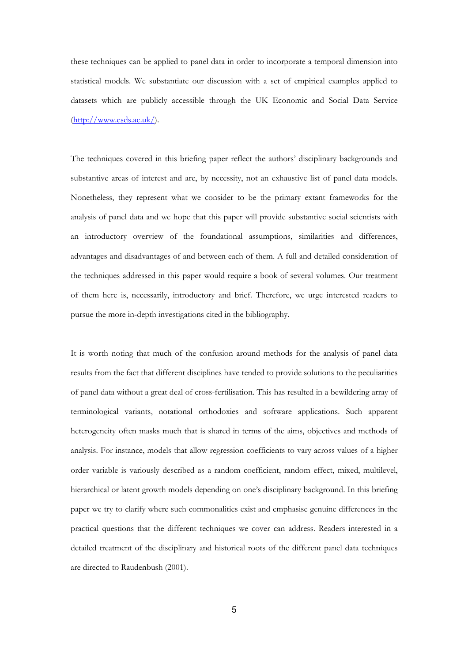these techniques can be applied to panel data in order to incorporate a temporal dimension into statistical models. We substantiate our discussion with a set of empirical examples applied to datasets which are publicly accessible through the UK Economic and Social Data Service  $(\frac{http://www.esds.ac.uk/)}$ .

The techniques covered in this briefing paper reflect the authors' disciplinary backgrounds and substantive areas of interest and are, by necessity, not an exhaustive list of panel data models. Nonetheless, they represent what we consider to be the primary extant frameworks for the analysis of panel data and we hope that this paper will provide substantive social scientists with an introductory overview of the foundational assumptions, similarities and differences, advantages and disadvantages of and between each of them. A full and detailed consideration of the techniques addressed in this paper would require a book of several volumes. Our treatment of them here is, necessarily, introductory and brief. Therefore, we urge interested readers to pursue the more in-depth investigations cited in the bibliography.

It is worth noting that much of the confusion around methods for the analysis of panel data results from the fact that different disciplines have tended to provide solutions to the peculiarities of panel data without a great deal of cross-fertilisation. This has resulted in a bewildering array of terminological variants, notational orthodoxies and software applications. Such apparent heterogeneity often masks much that is shared in terms of the aims, objectives and methods of analysis. For instance, models that allow regression coefficients to vary across values of a higher order variable is variously described as a random coefficient, random effect, mixed, multilevel, hierarchical or latent growth models depending on one's disciplinary background. In this briefing paper we try to clarify where such commonalities exist and emphasise genuine differences in the practical questions that the different techniques we cover can address. Readers interested in a detailed treatment of the disciplinary and historical roots of the different panel data techniques are directed to Raudenbush (2001).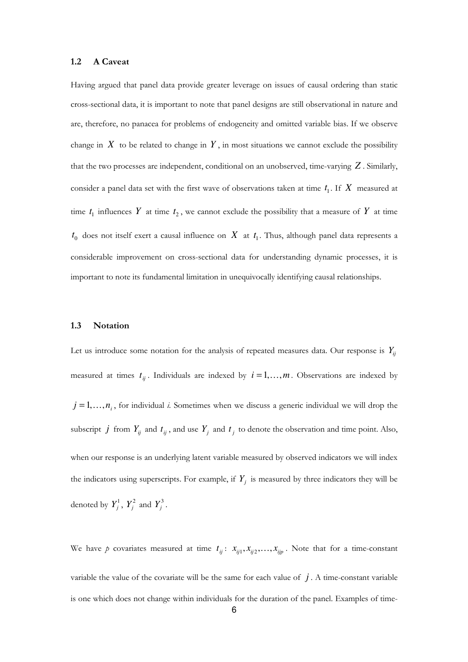#### 1.2 A Caveat

Having argued that panel data provide greater leverage on issues of causal ordering than static cross-sectional data, it is important to note that panel designs are still observational in nature and are, therefore, no panacea for problems of endogeneity and omitted variable bias. If we observe change in  $X$  to be related to change in  $Y$ , in most situations we cannot exclude the possibility that the two processes are independent, conditional on an unobserved, time-varying *Z* . Similarly, consider a panel data set with the first wave of observations taken at time  $t_1$ . If  $X$  measured at time  $t_1$  influences Y at time  $t_2$ , we cannot exclude the possibility that a measure of Y at time  $t_0$  does not itself exert a causal influence on  $X$  at  $t_1$ . Thus, although panel data represents a considerable improvement on cross-sectional data for understanding dynamic processes, it is important to note its fundamental limitation in unequivocally identifying causal relationships.

#### 1.3 Notation

Let us introduce some notation for the analysis of repeated measures data. Our response is  $Y_{ii}$ measured at times  $t_{ij}$ . Individuals are indexed by  $i = 1, \ldots, m$ . Observations are indexed by  $j = 1, \ldots, n_i$ , for individual *i*. Sometimes when we discuss a generic individual we will drop the subscript *j* from  $Y_{ij}$  and  $t_{ij}$ , and use  $Y_j$  and  $t_j$  to denote the observation and time point. Also, when our response is an underlying latent variable measured by observed indicators we will index the indicators using superscripts. For example, if  $Y_j$  is measured by three indicators they will be denoted by  $Y_j^1$ ,  $Y_j^2$  and  $Y_j^3$ .

We have p covariates measured at time  $t_{ij}$ :  $x_{ij1}, x_{ij2},..., x_{ijp}$ . Note that for a time-constant variable the value of the covariate will be the same for each value of  $j$ . A time-constant variable is one which does not change within individuals for the duration of the panel. Examples of time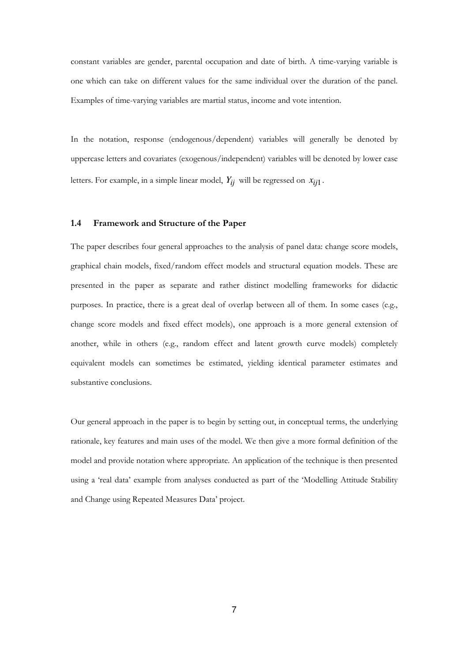constant variables are gender, parental occupation and date of birth. A time-varying variable is one which can take on different values for the same individual over the duration of the panel. Examples of time-varying variables are martial status, income and vote intention.

In the notation, response (endogenous/dependent) variables will generally be denoted by uppercase letters and covariates (exogenous/independent) variables will be denoted by lower case letters. For example, in a simple linear model,  $Y_{ij}$  will be regressed on  $x_{ij1}$ .

#### 1.4 Framework and Structure of the Paper

The paper describes four general approaches to the analysis of panel data: change score models, graphical chain models, fixed/random effect models and structural equation models. These are presented in the paper as separate and rather distinct modelling frameworks for didactic purposes. In practice, there is a great deal of overlap between all of them. In some cases (e.g., change score models and fixed effect models), one approach is a more general extension of another, while in others (e.g., random effect and latent growth curve models) completely equivalent models can sometimes be estimated, yielding identical parameter estimates and substantive conclusions.

Our general approach in the paper is to begin by setting out, in conceptual terms, the underlying rationale, key features and main uses of the model. We then give a more formal definition of the model and provide notation where appropriate. An application of the technique is then presented using a 'real data' example from analyses conducted as part of the 'Modelling Attitude Stability and Change using Repeated Measures Data' project.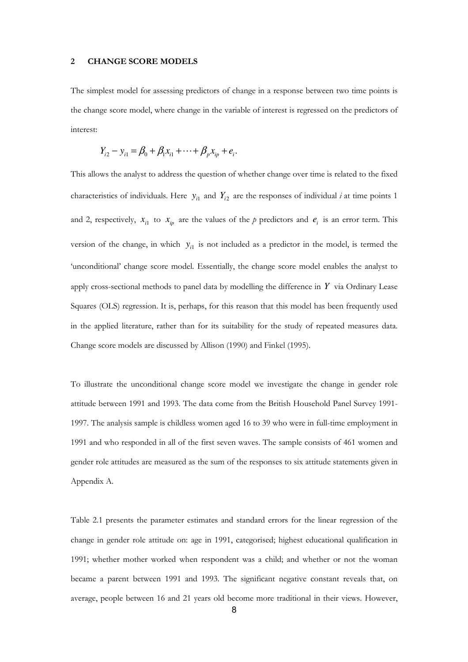#### 2 CHANGE SCORE MODELS

The simplest model for assessing predictors of change in a response between two time points is the change score model, where change in the variable of interest is regressed on the predictors of interest:

$$
Y_{i2} - y_{i1} = \beta_0 + \beta_1 x_{i1} + \dots + \beta_p x_{ip} + e_i.
$$

This allows the analyst to address the question of whether change over time is related to the fixed characteristics of individuals. Here  $y_{i1}$  and  $Y_{i2}$  are the responses of individual *i* at time points 1 and 2, respectively,  $x_{i1}$  to  $x_{ip}$  are the values of the p predictors and  $e_i$  is an error term. This version of the change, in which  $y_{i1}$  is not included as a predictor in the model, is termed the 'unconditional' change score model. Essentially, the change score model enables the analyst to apply cross-sectional methods to panel data by modelling the difference in *Y* via Ordinary Lease Squares (OLS) regression. It is, perhaps, for this reason that this model has been frequently used in the applied literature, rather than for its suitability for the study of repeated measures data. Change score models are discussed by Allison (1990) and Finkel (1995).

To illustrate the unconditional change score model we investigate the change in gender role attitude between 1991 and 1993. The data come from the British Household Panel Survey 1991- 1997. The analysis sample is childless women aged 16 to 39 who were in full-time employment in 1991 and who responded in all of the first seven waves. The sample consists of 461 women and gender role attitudes are measured as the sum of the responses to six attitude statements given in Appendix A.

Table 2.1 presents the parameter estimates and standard errors for the linear regression of the change in gender role attitude on: age in 1991, categorised; highest educational qualification in 1991; whether mother worked when respondent was a child; and whether or not the woman became a parent between 1991 and 1993. The significant negative constant reveals that, on average, people between 16 and 21 years old become more traditional in their views. However,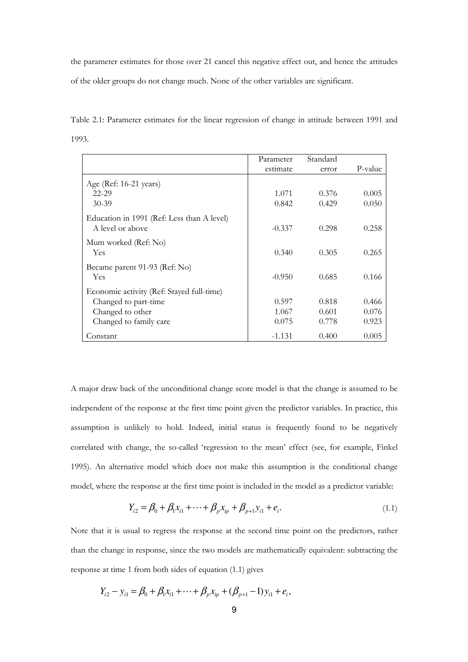the parameter estimates for those over 21 cancel this negative effect out, and hence the attitudes of the older groups do not change much. None of the other variables are significant.

Table 2.1: Parameter estimates for the linear regression of change in attitude between 1991 and 1993.

|                                                                | Parameter | Standard |         |
|----------------------------------------------------------------|-----------|----------|---------|
|                                                                | estimate  | error    | P-value |
| Age (Ref: $16-21$ years)                                       |           |          |         |
| $22 - 29$                                                      | 1.071     | 0.376    | 0.005   |
| $30 - 39$                                                      | 0.842     | 0.429    | 0.050   |
| Education in 1991 (Ref: Less than A level)<br>A level or above | $-0.337$  | 0.298    | 0.258   |
| Mum worked (Ref: No)<br><b>Yes</b>                             | 0.340     | 0.305    | 0.265   |
| Became parent 91-93 (Ref: No)<br><b>Yes</b>                    | $-0.950$  | 0.685    | 0.166   |
| Economic activity (Ref: Stayed full-time)                      |           |          |         |
| Changed to part-time                                           | 0.597     | 0.818    | 0.466   |
| Changed to other                                               | 1.067     | 0.601    | 0.076   |
| Changed to family care                                         | 0.075     | 0.778    | 0.923   |
| Constant                                                       | $-1.131$  | 0.400    | 0.005   |

A major draw back of the unconditional change score model is that the change is assumed to be independent of the response at the first time point given the predictor variables. In practice, this assumption is unlikely to hold. Indeed, initial status is frequently found to be negatively correlated with change, the so-called 'regression to the mean' effect (see, for example, Finkel 1995). An alternative model which does not make this assumption is the conditional change model, where the response at the first time point is included in the model as a predictor variable:

$$
Y_{i2} = \beta_0 + \beta_1 x_{i1} + \dots + \beta_p x_{ip} + \beta_{p+1} y_{i1} + e_i.
$$
\n(1.1)

Note that it is usual to regress the response at the second time point on the predictors, rather than the change in response, since the two models are mathematically equivalent: subtracting the response at time 1 from both sides of equation (1.1) gives

$$
Y_{i2} - y_{i1} = \beta_0 + \beta_1 x_{i1} + \dots + \beta_p x_{ip} + (\beta_{p+1} - 1) y_{i1} + e_i,
$$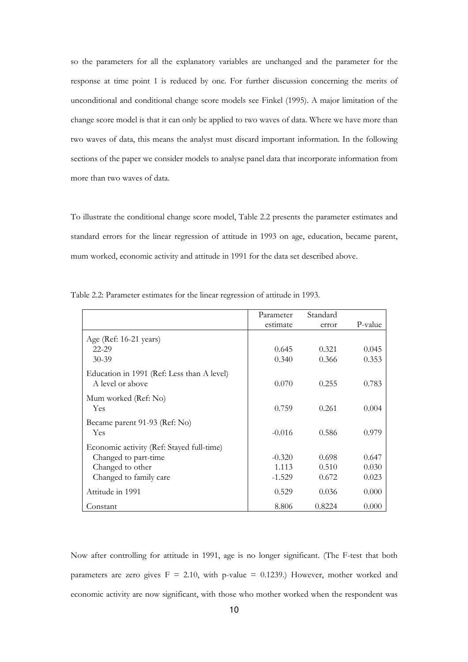so the parameters for all the explanatory variables are unchanged and the parameter for the response at time point 1 is reduced by one. For further discussion concerning the merits of unconditional and conditional change score models see Finkel (1995). A major limitation of the change score model is that it can only be applied to two waves of data. Where we have more than two waves of data, this means the analyst must discard important information. In the following sections of the paper we consider models to analyse panel data that incorporate information from more than two waves of data.

To illustrate the conditional change score model, Table 2.2 presents the parameter estimates and standard errors for the linear regression of attitude in 1993 on age, education, became parent, mum worked, economic activity and attitude in 1991 for the data set described above.

|                                            | Parameter | Standard |         |
|--------------------------------------------|-----------|----------|---------|
|                                            | estimate  | error    | P-value |
| Age (Ref: 16-21 years)                     |           |          |         |
| 22-29                                      | 0.645     | 0.321    | 0.045   |
| $30 - 39$                                  | 0.340     | 0.366    | 0.353   |
| Education in 1991 (Ref: Less than A level) |           |          |         |
| A level or above                           | 0.070     | 0.255    | 0.783   |
| Mum worked (Ref: No)                       |           |          |         |
| Yes                                        | 0.759     | 0.261    | 0.004   |
| Became parent 91-93 (Ref: No)              |           |          |         |
| Yes                                        | $-0.016$  | 0.586    | 0.979   |
| Economic activity (Ref: Stayed full-time)  |           |          |         |
| Changed to part-time                       | $-0.320$  | 0.698    | 0.647   |
| Changed to other                           | 1.113     | 0.510    | 0.030   |
| Changed to family care                     | $-1.529$  | 0.672    | 0.023   |
| Attitude in 1991                           | 0.529     | 0.036    | 0.000   |
| Constant                                   | 8.806     | 0.8224   | 0.000   |

Table 2.2: Parameter estimates for the linear regression of attitude in 1993.

Now after controlling for attitude in 1991, age is no longer significant. (The F-test that both parameters are zero gives  $F = 2.10$ , with p-value = 0.1239.) However, mother worked and economic activity are now significant, with those who mother worked when the respondent was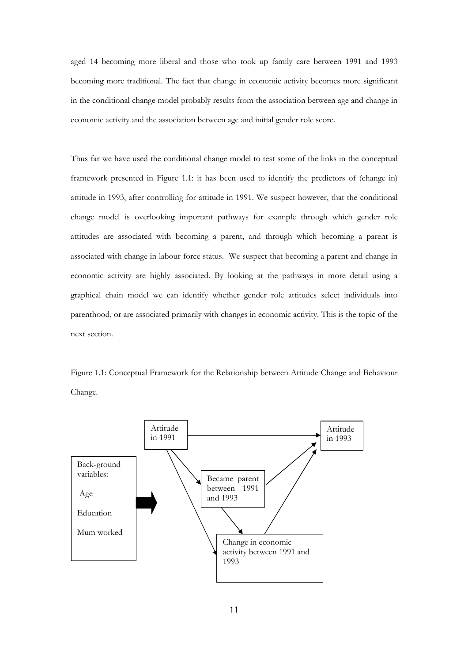aged 14 becoming more liberal and those who took up family care between 1991 and 1993 becoming more traditional. The fact that change in economic activity becomes more significant in the conditional change model probably results from the association between age and change in economic activity and the association between age and initial gender role score.

Thus far we have used the conditional change model to test some of the links in the conceptual framework presented in Figure 1.1: it has been used to identify the predictors of (change in) attitude in 1993, after controlling for attitude in 1991. We suspect however, that the conditional change model is overlooking important pathways for example through which gender role attitudes are associated with becoming a parent, and through which becoming a parent is associated with change in labour force status. We suspect that becoming a parent and change in economic activity are highly associated. By looking at the pathways in more detail using a graphical chain model we can identify whether gender role attitudes select individuals into parenthood, or are associated primarily with changes in economic activity. This is the topic of the next section.

Figure 1.1: Conceptual Framework for the Relationship between Attitude Change and Behaviour Change.

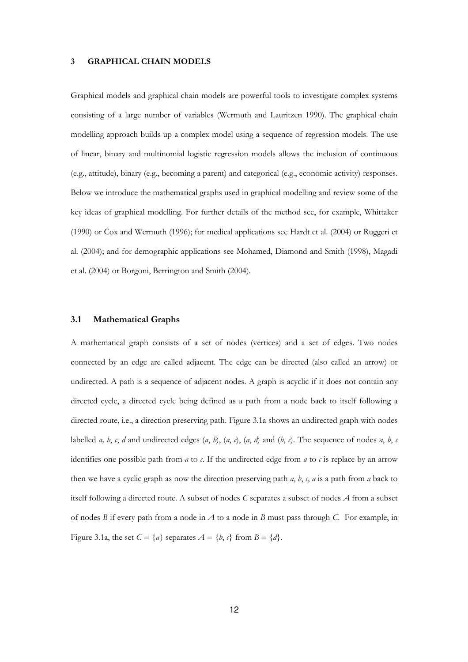#### 3 GRAPHICAL CHAIN MODELS

Graphical models and graphical chain models are powerful tools to investigate complex systems consisting of a large number of variables (Wermuth and Lauritzen 1990). The graphical chain modelling approach builds up a complex model using a sequence of regression models. The use of linear, binary and multinomial logistic regression models allows the inclusion of continuous (e.g., attitude), binary (e.g., becoming a parent) and categorical (e.g., economic activity) responses. Below we introduce the mathematical graphs used in graphical modelling and review some of the key ideas of graphical modelling. For further details of the method see, for example, Whittaker (1990) or Cox and Wermuth (1996); for medical applications see Hardt et al. (2004) or Ruggeri et al. (2004); and for demographic applications see Mohamed, Diamond and Smith (1998), Magadi et al. (2004) or Borgoni, Berrington and Smith (2004).

#### 3.1 Mathematical Graphs

A mathematical graph consists of a set of nodes (vertices) and a set of edges. Two nodes connected by an edge are called adjacent. The edge can be directed (also called an arrow) or undirected. A path is a sequence of adjacent nodes. A graph is acyclic if it does not contain any directed cycle, a directed cycle being defined as a path from a node back to itself following a directed route, i.e., a direction preserving path. Figure 3.1a shows an undirected graph with nodes labelled a, b, c, d and undirected edges  $(a, b)$ ,  $(a, c)$ ,  $(a, d)$  and  $(b, c)$ . The sequence of nodes a, b, c identifies one possible path from  $a$  to  $c$ . If the undirected edge from  $a$  to  $c$  is replace by an arrow then we have a cyclic graph as now the direction preserving path  $a$ ,  $b$ ,  $c$ ,  $a$  is a path from  $a$  back to itself following a directed route. A subset of nodes C separates a subset of nodes  $A$  from a subset of nodes B if every path from a node in A to a node in B must pass through C. For example, in Figure 3.1a, the set  $C = \{a\}$  separates  $A = \{b, c\}$  from  $B = \{d\}$ .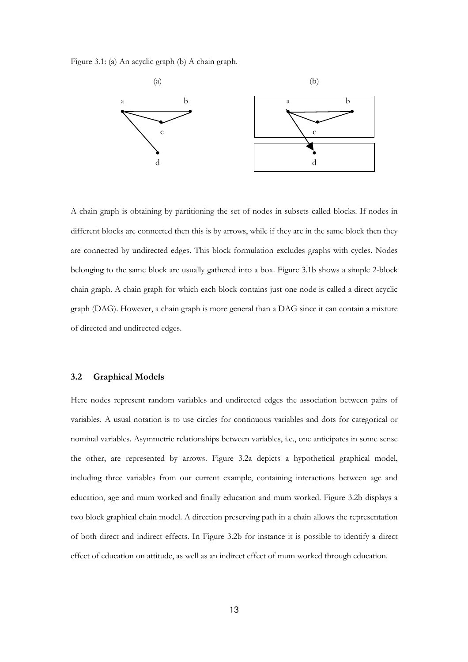Figure 3.1: (a) An acyclic graph (b) A chain graph.



A chain graph is obtaining by partitioning the set of nodes in subsets called blocks. If nodes in different blocks are connected then this is by arrows, while if they are in the same block then they are connected by undirected edges. This block formulation excludes graphs with cycles. Nodes belonging to the same block are usually gathered into a box. Figure 3.1b shows a simple 2-block chain graph. A chain graph for which each block contains just one node is called a direct acyclic graph (DAG). However, a chain graph is more general than a DAG since it can contain a mixture of directed and undirected edges.

#### 3.2 Graphical Models

Here nodes represent random variables and undirected edges the association between pairs of variables. A usual notation is to use circles for continuous variables and dots for categorical or nominal variables. Asymmetric relationships between variables, i.e., one anticipates in some sense the other, are represented by arrows. Figure 3.2a depicts a hypothetical graphical model, including three variables from our current example, containing interactions between age and education, age and mum worked and finally education and mum worked. Figure 3.2b displays a two block graphical chain model. A direction preserving path in a chain allows the representation of both direct and indirect effects. In Figure 3.2b for instance it is possible to identify a direct effect of education on attitude, as well as an indirect effect of mum worked through education.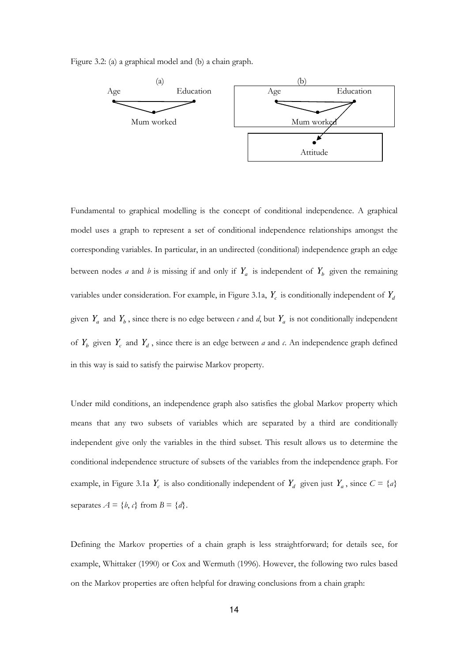Figure 3.2: (a) a graphical model and (b) a chain graph.



Fundamental to graphical modelling is the concept of conditional independence. A graphical model uses a graph to represent a set of conditional independence relationships amongst the corresponding variables. In particular, in an undirected (conditional) independence graph an edge between nodes *a* and *b* is missing if and only if  $Y_a$  is independent of  $Y_b$  given the remaining variables under consideration. For example, in Figure 3.1a, *Y<sup>c</sup>* is conditionally independent of *Y<sup>d</sup>* given  $Y_a$  and  $Y_b$ , since there is no edge between  $\epsilon$  and  $d$ , but  $Y_a$  is not conditionally independent of  $Y_b$  given  $Y_c$  and  $Y_d$ , since there is an edge between a and c. An independence graph defined in this way is said to satisfy the pairwise Markov property.

Under mild conditions, an independence graph also satisfies the global Markov property which means that any two subsets of variables which are separated by a third are conditionally independent give only the variables in the third subset. This result allows us to determine the conditional independence structure of subsets of the variables from the independence graph. For example, in Figure 3.1a  $Y_c$  is also conditionally independent of  $Y_d$  given just  $Y_a$ , since  $C = \{a\}$ separates  $A = \{b, c\}$  from  $B = \{d\}.$ 

Defining the Markov properties of a chain graph is less straightforward; for details see, for example, Whittaker (1990) or Cox and Wermuth (1996). However, the following two rules based on the Markov properties are often helpful for drawing conclusions from a chain graph: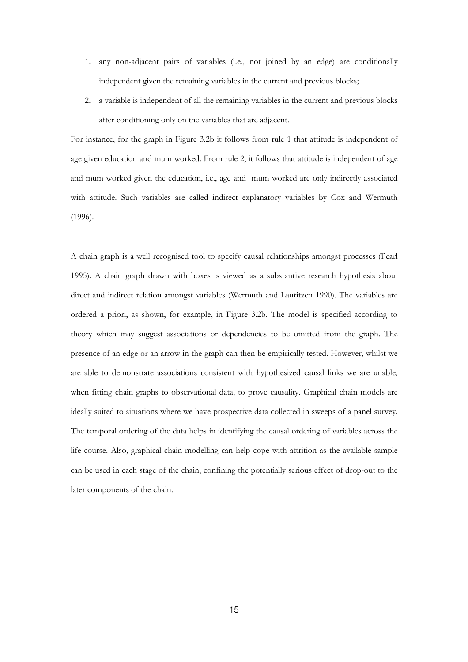- 1. any non-adjacent pairs of variables (i.e., not joined by an edge) are conditionally independent given the remaining variables in the current and previous blocks;
- 2. a variable is independent of all the remaining variables in the current and previous blocks after conditioning only on the variables that are adjacent.

For instance, for the graph in Figure 3.2b it follows from rule 1 that attitude is independent of age given education and mum worked. From rule 2, it follows that attitude is independent of age and mum worked given the education, i.e., age and mum worked are only indirectly associated with attitude. Such variables are called indirect explanatory variables by Cox and Wermuth (1996).

A chain graph is a well recognised tool to specify causal relationships amongst processes (Pearl 1995). A chain graph drawn with boxes is viewed as a substantive research hypothesis about direct and indirect relation amongst variables (Wermuth and Lauritzen 1990). The variables are ordered a priori, as shown, for example, in Figure 3.2b. The model is specified according to theory which may suggest associations or dependencies to be omitted from the graph. The presence of an edge or an arrow in the graph can then be empirically tested. However, whilst we are able to demonstrate associations consistent with hypothesized causal links we are unable, when fitting chain graphs to observational data, to prove causality. Graphical chain models are ideally suited to situations where we have prospective data collected in sweeps of a panel survey. The temporal ordering of the data helps in identifying the causal ordering of variables across the life course. Also, graphical chain modelling can help cope with attrition as the available sample can be used in each stage of the chain, confining the potentially serious effect of drop-out to the later components of the chain.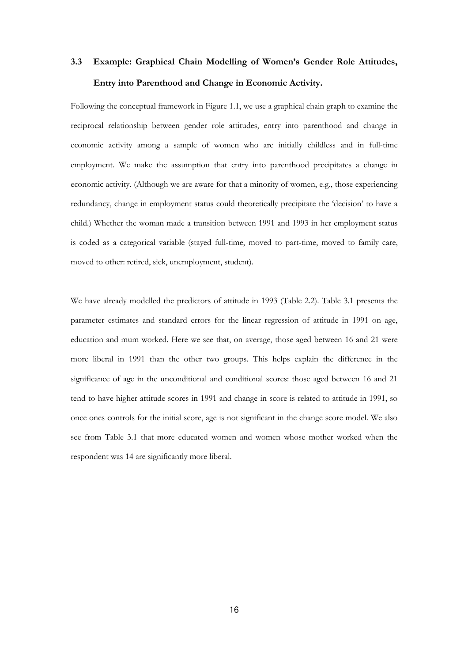### 3.3 Example: Graphical Chain Modelling of Women's Gender Role Attitudes, Entry into Parenthood and Change in Economic Activity.

Following the conceptual framework in Figure 1.1, we use a graphical chain graph to examine the reciprocal relationship between gender role attitudes, entry into parenthood and change in economic activity among a sample of women who are initially childless and in full-time employment. We make the assumption that entry into parenthood precipitates a change in economic activity. (Although we are aware for that a minority of women, e.g., those experiencing redundancy, change in employment status could theoretically precipitate the 'decision' to have a child.) Whether the woman made a transition between 1991 and 1993 in her employment status is coded as a categorical variable (stayed full-time, moved to part-time, moved to family care, moved to other: retired, sick, unemployment, student).

We have already modelled the predictors of attitude in 1993 (Table 2.2). Table 3.1 presents the parameter estimates and standard errors for the linear regression of attitude in 1991 on age, education and mum worked. Here we see that, on average, those aged between 16 and 21 were more liberal in 1991 than the other two groups. This helps explain the difference in the significance of age in the unconditional and conditional scores: those aged between 16 and 21 tend to have higher attitude scores in 1991 and change in score is related to attitude in 1991, so once ones controls for the initial score, age is not significant in the change score model. We also see from Table 3.1 that more educated women and women whose mother worked when the respondent was 14 are significantly more liberal.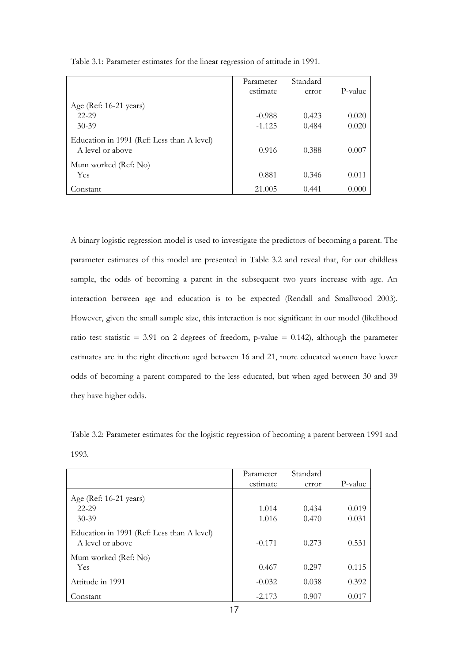|                                                                | Parameter | Standard |         |
|----------------------------------------------------------------|-----------|----------|---------|
|                                                                | estimate  | error    | P-value |
| Age (Ref: 16-21 years)                                         |           |          |         |
| $22 - 29$                                                      | $-0.988$  | 0.423    | 0.020   |
| $30 - 39$                                                      | $-1.125$  | 0.484    | 0.020   |
| Education in 1991 (Ref: Less than A level)<br>A level or above | 0.916     | 0.388    | 0.007   |
| Mum worked (Ref: No)                                           |           |          |         |
| <b>Yes</b>                                                     | 0.881     | 0.346    | 0.011   |
| Constant                                                       | 21.005    | 0.441    | 0.000   |

Table 3.1: Parameter estimates for the linear regression of attitude in 1991.

A binary logistic regression model is used to investigate the predictors of becoming a parent. The parameter estimates of this model are presented in Table 3.2 and reveal that, for our childless sample, the odds of becoming a parent in the subsequent two years increase with age. An interaction between age and education is to be expected (Rendall and Smallwood 2003). However, given the small sample size, this interaction is not significant in our model (likelihood ratio test statistic = 3.91 on 2 degrees of freedom, p-value = 0.142), although the parameter estimates are in the right direction: aged between 16 and 21, more educated women have lower odds of becoming a parent compared to the less educated, but when aged between 30 and 39 they have higher odds.

Table 3.2: Parameter estimates for the logistic regression of becoming a parent between 1991 and 1993.

|                                                                | Parameter | Standard |         |
|----------------------------------------------------------------|-----------|----------|---------|
|                                                                | estimate  | error    | P-value |
| Age (Ref: 16-21 years)                                         |           |          |         |
| $22 - 29$                                                      | 1.014     | 0.434    | 0.019   |
| $30 - 39$                                                      | 1.016     | 0.470    | 0.031   |
| Education in 1991 (Ref: Less than A level)<br>A level or above | $-0.171$  | 0.273    | 0.531   |
| Mum worked (Ref: No)                                           |           |          |         |
| <b>Yes</b>                                                     | 0.467     | 0.297    | 0.115   |
| Attitude in 1991                                               | $-0.032$  | 0.038    | 0.392   |
| Constant                                                       | $-2.173$  | 0.907    | 0.017   |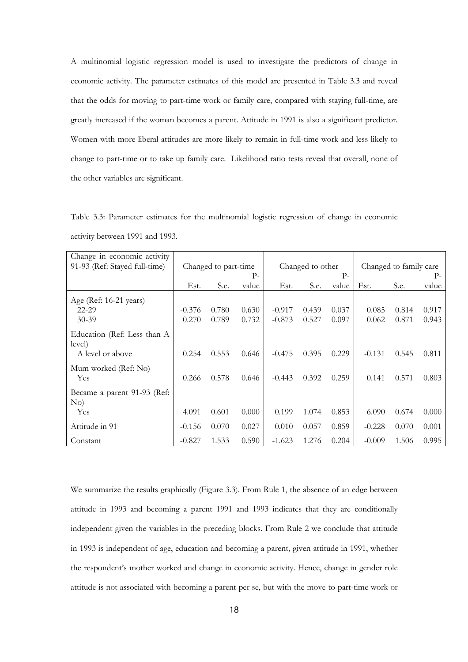A multinomial logistic regression model is used to investigate the predictors of change in economic activity. The parameter estimates of this model are presented in Table 3.3 and reveal that the odds for moving to part-time work or family care, compared with staying full-time, are greatly increased if the woman becomes a parent. Attitude in 1991 is also a significant predictor. Women with more liberal attitudes are more likely to remain in full-time work and less likely to change to part-time or to take up family care. Likelihood ratio tests reveal that overall, none of the other variables are significant.

Table 3.3: Parameter estimates for the multinomial logistic regression of change in economic activity between 1991 and 1993.

| Change in economic activity<br>91-93 (Ref: Stayed full-time) | Changed to part-time |       | Changed to other |          | Changed to family care |       |          |       |       |
|--------------------------------------------------------------|----------------------|-------|------------------|----------|------------------------|-------|----------|-------|-------|
|                                                              |                      |       | Р-               |          |                        | $P-$  |          |       | $P-$  |
|                                                              | Est.                 | S.e.  | value            | Est.     | S.e.                   | value | Est.     | S.e.  | value |
| Age (Ref: 16-21 years)                                       |                      |       |                  |          |                        |       |          |       |       |
| 22-29                                                        | $-0.376$             | 0.780 | 0.630            | $-0.917$ | 0.439                  | 0.037 | 0.085    | 0.814 | 0.917 |
| $30 - 39$                                                    | 0.270                | 0.789 | 0.732            | $-0.873$ | 0.527                  | 0.097 | 0.062    | 0.871 | 0.943 |
| Education (Ref: Less than A<br>level)                        |                      |       |                  |          |                        |       |          |       |       |
| A level or above                                             | 0.254                | 0.553 | 0.646            | $-0.475$ | 0.395                  | 0.229 | $-0.131$ | 0.545 | 0.811 |
| Mum worked (Ref: No)<br>Yes                                  | 0.266                | 0.578 | 0.646            | $-0.443$ | 0.392                  | 0.259 | 0.141    | 0.571 | 0.803 |
| Became a parent 91-93 (Ref:<br>No)                           |                      |       |                  |          |                        |       |          |       |       |
| Yes                                                          | 4.091                | 0.601 | 0.000            | 0.199    | 1.074                  | 0.853 | 6.090    | 0.674 | 0.000 |
| Attitude in 91                                               | $-0.156$             | 0.070 | 0.027            | 0.010    | 0.057                  | 0.859 | $-0.228$ | 0.070 | 0.001 |
| Constant                                                     | $-0.827$             | 1.533 | 0.590            | $-1.623$ | 1.276                  | 0.204 | $-0.009$ | 1.506 | 0.995 |

We summarize the results graphically (Figure 3.3). From Rule 1, the absence of an edge between attitude in 1993 and becoming a parent 1991 and 1993 indicates that they are conditionally independent given the variables in the preceding blocks. From Rule 2 we conclude that attitude in 1993 is independent of age, education and becoming a parent, given attitude in 1991, whether the respondent's mother worked and change in economic activity. Hence, change in gender role attitude is not associated with becoming a parent per se, but with the move to part-time work or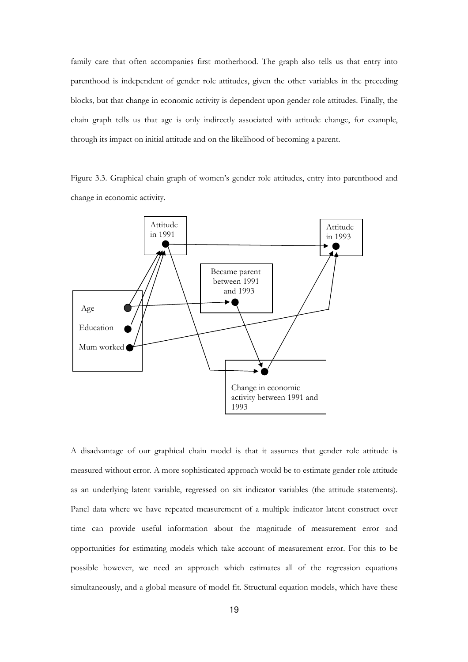family care that often accompanies first motherhood. The graph also tells us that entry into parenthood is independent of gender role attitudes, given the other variables in the preceding blocks, but that change in economic activity is dependent upon gender role attitudes. Finally, the chain graph tells us that age is only indirectly associated with attitude change, for example, through its impact on initial attitude and on the likelihood of becoming a parent.

Figure 3.3. Graphical chain graph of women's gender role attitudes, entry into parenthood and change in economic activity.



A disadvantage of our graphical chain model is that it assumes that gender role attitude is measured without error. A more sophisticated approach would be to estimate gender role attitude as an underlying latent variable, regressed on six indicator variables (the attitude statements). Panel data where we have repeated measurement of a multiple indicator latent construct over time can provide useful information about the magnitude of measurement error and opportunities for estimating models which take account of measurement error. For this to be possible however, we need an approach which estimates all of the regression equations simultaneously, and a global measure of model fit. Structural equation models, which have these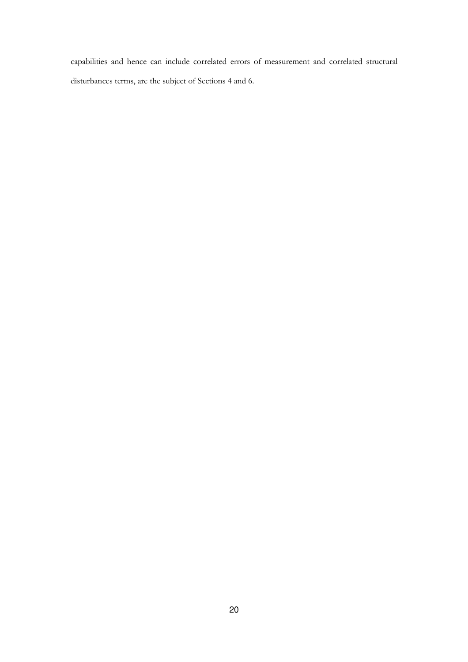capabilities and hence can include correlated errors of measurement and correlated structural disturbances terms, are the subject of Sections 4 and 6.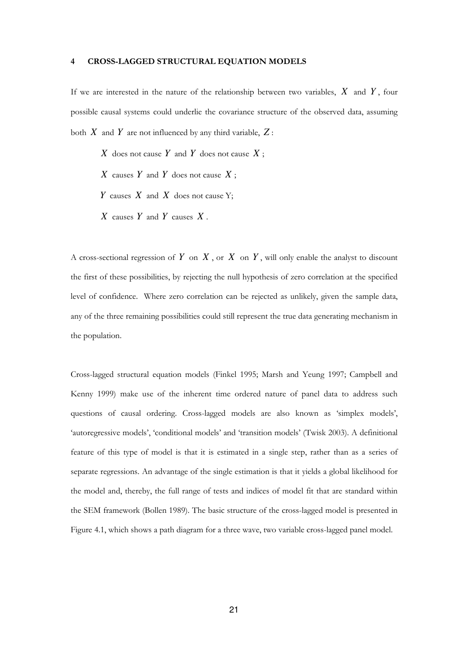#### 4 CROSS-LAGGED STRUCTURAL EQUATION MODELS

If we are interested in the nature of the relationship between two variables, *X* and *Y* , four possible causal systems could underlie the covariance structure of the observed data, assuming both  $X$  and  $Y$  are not influenced by any third variable,  $Z$ :

*X* does not cause *Y* and *Y* does not cause *X* ;

*X* causes *Y* and *Y* does not cause *X* ;

*Y* causes *X* and *X* does not cause Y;

*X* causes *Y* and *Y* causes *X* .

A cross-sectional regression of  $Y$  on  $X$ , or  $X$  on  $Y$ , will only enable the analyst to discount the first of these possibilities, by rejecting the null hypothesis of zero correlation at the specified level of confidence. Where zero correlation can be rejected as unlikely, given the sample data, any of the three remaining possibilities could still represent the true data generating mechanism in the population.

Cross-lagged structural equation models (Finkel 1995; Marsh and Yeung 1997; Campbell and Kenny 1999) make use of the inherent time ordered nature of panel data to address such questions of causal ordering. Cross-lagged models are also known as 'simplex models', 'autoregressive models', 'conditional models' and 'transition models' (Twisk 2003). A definitional feature of this type of model is that it is estimated in a single step, rather than as a series of separate regressions. An advantage of the single estimation is that it yields a global likelihood for the model and, thereby, the full range of tests and indices of model fit that are standard within the SEM framework (Bollen 1989). The basic structure of the cross-lagged model is presented in Figure 4.1, which shows a path diagram for a three wave, two variable cross-lagged panel model.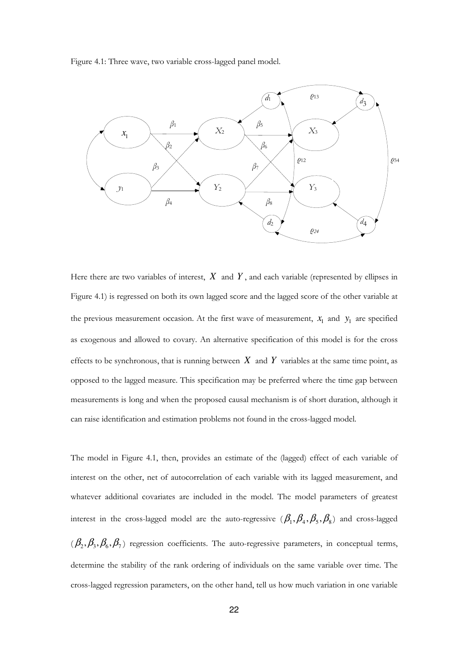Figure 4.1: Three wave, two variable cross-lagged panel model.



Here there are two variables of interest,  $X$  and  $Y$ , and each variable (represented by ellipses in Figure 4.1) is regressed on both its own lagged score and the lagged score of the other variable at the previous measurement occasion. At the first wave of measurement,  $x_1$  and  $y_1$  are specified as exogenous and allowed to covary. An alternative specification of this model is for the cross effects to be synchronous, that is running between  $X$  and  $Y$  variables at the same time point, as opposed to the lagged measure. This specification may be preferred where the time gap between measurements is long and when the proposed causal mechanism is of short duration, although it can raise identification and estimation problems not found in the cross-lagged model.

The model in Figure 4.1, then, provides an estimate of the (lagged) effect of each variable of interest on the other, net of autocorrelation of each variable with its lagged measurement, and whatever additional covariates are included in the model. The model parameters of greatest interest in the cross-lagged model are the auto-regressive  $(\beta_1, \beta_4, \beta_5, \beta_8)$  and cross-lagged  $(\beta_2, \beta_3, \beta_6, \beta_7)$  regression coefficients. The auto-regressive parameters, in conceptual terms, determine the stability of the rank ordering of individuals on the same variable over time. The cross-lagged regression parameters, on the other hand, tell us how much variation in one variable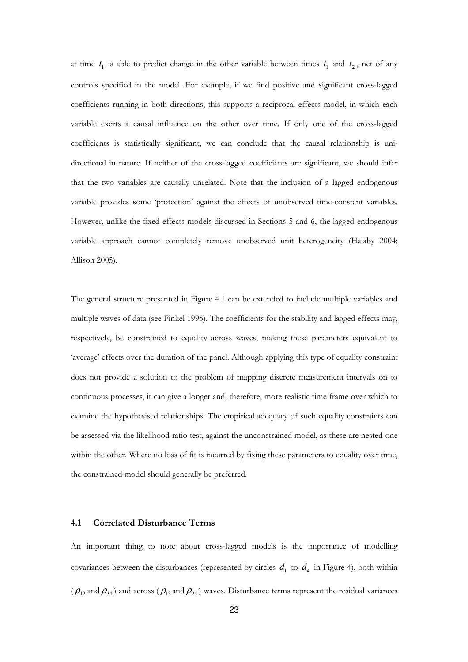at time  $t_1$  is able to predict change in the other variable between times  $t_1$  and  $t_2$ , net of any controls specified in the model. For example, if we find positive and significant cross-lagged coefficients running in both directions, this supports a reciprocal effects model, in which each variable exerts a causal influence on the other over time. If only one of the cross-lagged coefficients is statistically significant, we can conclude that the causal relationship is unidirectional in nature. If neither of the cross-lagged coefficients are significant, we should infer that the two variables are causally unrelated. Note that the inclusion of a lagged endogenous variable provides some 'protection' against the effects of unobserved time-constant variables. However, unlike the fixed effects models discussed in Sections 5 and 6, the lagged endogenous variable approach cannot completely remove unobserved unit heterogeneity (Halaby 2004; Allison 2005).

The general structure presented in Figure 4.1 can be extended to include multiple variables and multiple waves of data (see Finkel 1995). The coefficients for the stability and lagged effects may, respectively, be constrained to equality across waves, making these parameters equivalent to 'average' effects over the duration of the panel. Although applying this type of equality constraint does not provide a solution to the problem of mapping discrete measurement intervals on to continuous processes, it can give a longer and, therefore, more realistic time frame over which to examine the hypothesised relationships. The empirical adequacy of such equality constraints can be assessed via the likelihood ratio test, against the unconstrained model, as these are nested one within the other. Where no loss of fit is incurred by fixing these parameters to equality over time, the constrained model should generally be preferred.

#### 4.1 Correlated Disturbance Terms

An important thing to note about cross-lagged models is the importance of modelling covariances between the disturbances (represented by circles  $d_1$  to  $d_4$  in Figure 4), both within  $(\rho_{12}$  and  $\rho_{34})$  and across  $(\rho_{13}$  and  $\rho_{24})$  waves. Disturbance terms represent the residual variances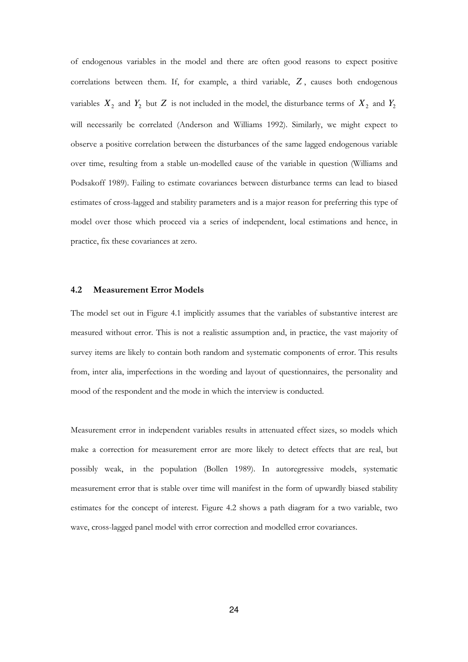of endogenous variables in the model and there are often good reasons to expect positive correlations between them. If, for example, a third variable, *Z* , causes both endogenous variables  $X_2$  and  $Y_2$  but  $Z$  is not included in the model, the disturbance terms of  $X_2$  and  $Y_2$ will necessarily be correlated (Anderson and Williams 1992). Similarly, we might expect to observe a positive correlation between the disturbances of the same lagged endogenous variable over time, resulting from a stable un-modelled cause of the variable in question (Williams and Podsakoff 1989). Failing to estimate covariances between disturbance terms can lead to biased estimates of cross-lagged and stability parameters and is a major reason for preferring this type of model over those which proceed via a series of independent, local estimations and hence, in practice, fix these covariances at zero.

#### 4.2 Measurement Error Models

The model set out in Figure 4.1 implicitly assumes that the variables of substantive interest are measured without error. This is not a realistic assumption and, in practice, the vast majority of survey items are likely to contain both random and systematic components of error. This results from, inter alia, imperfections in the wording and layout of questionnaires, the personality and mood of the respondent and the mode in which the interview is conducted.

Measurement error in independent variables results in attenuated effect sizes, so models which make a correction for measurement error are more likely to detect effects that are real, but possibly weak, in the population (Bollen 1989). In autoregressive models, systematic measurement error that is stable over time will manifest in the form of upwardly biased stability estimates for the concept of interest. Figure 4.2 shows a path diagram for a two variable, two wave, cross-lagged panel model with error correction and modelled error covariances.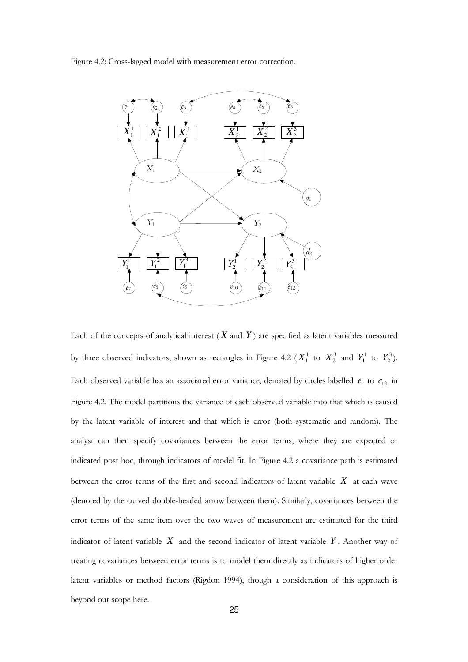Figure 4.2: Cross-lagged model with measurement error correction.



Each of the concepts of analytical interest  $(X \text{ and } Y)$  are specified as latent variables measured by three observed indicators, shown as rectangles in Figure 4.2 ( $X_1^1$  to  $X_2^3$  and  $Y_1^1$  to  $Y_2^3$ ). Each observed variable has an associated error variance, denoted by circles labelled  $e_1$  to  $e_{12}$  in Figure 4.2. The model partitions the variance of each observed variable into that which is caused by the latent variable of interest and that which is error (both systematic and random). The analyst can then specify covariances between the error terms, where they are expected or indicated post hoc, through indicators of model fit. In Figure 4.2 a covariance path is estimated between the error terms of the first and second indicators of latent variable *X* at each wave (denoted by the curved double-headed arrow between them). Similarly, covariances between the error terms of the same item over the two waves of measurement are estimated for the third indicator of latent variable *X* and the second indicator of latent variable *Y* . Another way of treating covariances between error terms is to model them directly as indicators of higher order latent variables or method factors (Rigdon 1994), though a consideration of this approach is beyond our scope here.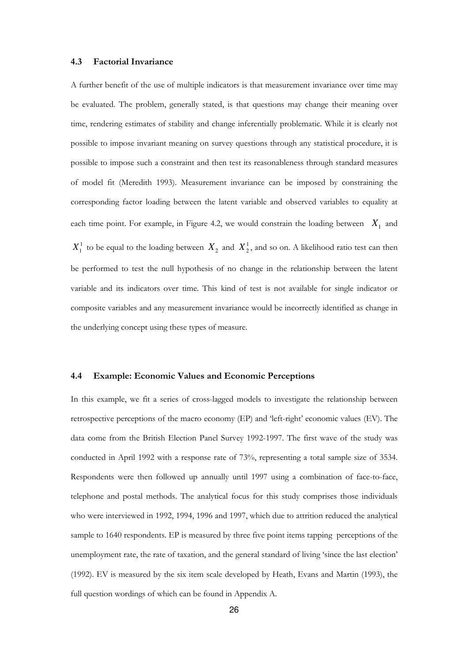#### 4.3 Factorial Invariance

A further benefit of the use of multiple indicators is that measurement invariance over time may be evaluated. The problem, generally stated, is that questions may change their meaning over time, rendering estimates of stability and change inferentially problematic. While it is clearly not possible to impose invariant meaning on survey questions through any statistical procedure, it is possible to impose such a constraint and then test its reasonableness through standard measures of model fit (Meredith 1993). Measurement invariance can be imposed by constraining the corresponding factor loading between the latent variable and observed variables to equality at each time point. For example, in Figure 4.2, we would constrain the loading between  $X_1$  and  $X_1^1$  to be equal to the loading between  $X_2$  and  $X_2^1$ , and so on. A likelihood ratio test can then be performed to test the null hypothesis of no change in the relationship between the latent variable and its indicators over time. This kind of test is not available for single indicator or composite variables and any measurement invariance would be incorrectly identified as change in the underlying concept using these types of measure.

#### 4.4 Example: Economic Values and Economic Perceptions

In this example, we fit a series of cross-lagged models to investigate the relationship between retrospective perceptions of the macro economy (EP) and 'left-right' economic values (EV). The data come from the British Election Panel Survey 1992-1997. The first wave of the study was conducted in April 1992 with a response rate of 73%, representing a total sample size of 3534. Respondents were then followed up annually until 1997 using a combination of face-to-face, telephone and postal methods. The analytical focus for this study comprises those individuals who were interviewed in 1992, 1994, 1996 and 1997, which due to attrition reduced the analytical sample to 1640 respondents. EP is measured by three five point items tapping perceptions of the unemployment rate, the rate of taxation, and the general standard of living 'since the last election' (1992). EV is measured by the six item scale developed by Heath, Evans and Martin (1993), the full question wordings of which can be found in Appendix A.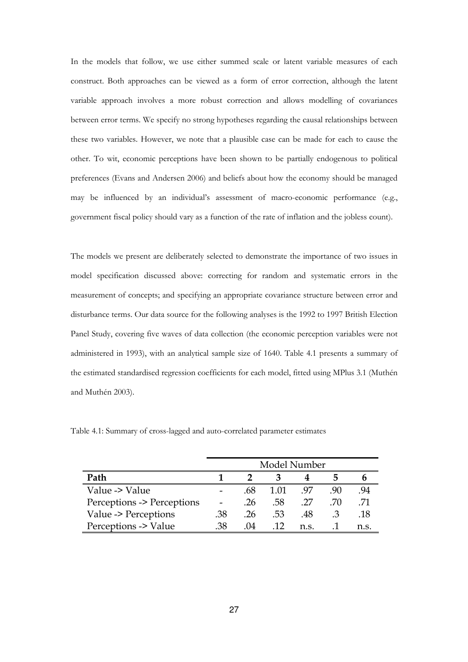In the models that follow, we use either summed scale or latent variable measures of each construct. Both approaches can be viewed as a form of error correction, although the latent variable approach involves a more robust correction and allows modelling of covariances between error terms. We specify no strong hypotheses regarding the causal relationships between these two variables. However, we note that a plausible case can be made for each to cause the other. To wit, economic perceptions have been shown to be partially endogenous to political preferences (Evans and Andersen 2006) and beliefs about how the economy should be managed may be influenced by an individual's assessment of macro-economic performance (e.g., government fiscal policy should vary as a function of the rate of inflation and the jobless count).

The models we present are deliberately selected to demonstrate the importance of two issues in model specification discussed above: correcting for random and systematic errors in the measurement of concepts; and specifying an appropriate covariance structure between error and disturbance terms. Our data source for the following analyses is the 1992 to 1997 British Election Panel Study, covering five waves of data collection (the economic perception variables were not administered in 1993), with an analytical sample size of 1640. Table 4.1 presents a summary of the estimated standardised regression coefficients for each model, fitted using MPlus 3.1 (Muthén and Muthén 2003).

|                            |     | Model Number |      |      |    |      |
|----------------------------|-----|--------------|------|------|----|------|
| Path                       |     |              |      |      |    |      |
| Value -> Value             |     | .68          | 1 01 | 97   | 90 | .94  |
| Perceptions -> Perceptions |     | .26          | .58  | .27  | 70 | 71   |
| Value -> Perceptions       | .38 | -26          | -53  | -48  |    | .18  |
| Perceptions -> Value       | 38  | -04          | 12   | n.s. |    | n.s. |

Table 4.1: Summary of cross-lagged and auto-correlated parameter estimates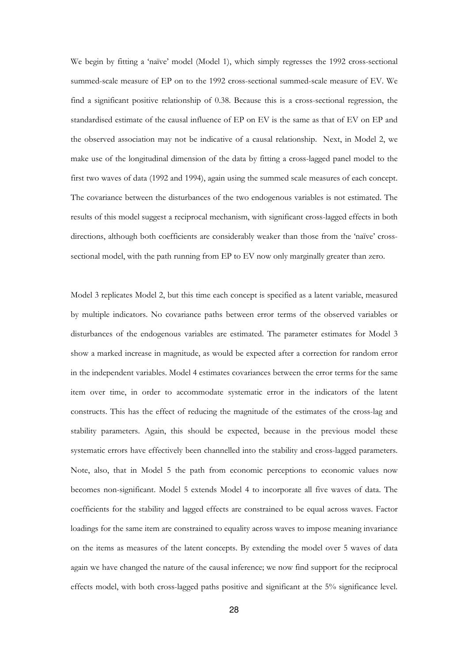We begin by fitting a 'naïve' model (Model 1), which simply regresses the 1992 cross-sectional summed-scale measure of EP on to the 1992 cross-sectional summed-scale measure of EV. We find a significant positive relationship of 0.38. Because this is a cross-sectional regression, the standardised estimate of the causal influence of EP on EV is the same as that of EV on EP and the observed association may not be indicative of a causal relationship. Next, in Model 2, we make use of the longitudinal dimension of the data by fitting a cross-lagged panel model to the first two waves of data (1992 and 1994), again using the summed scale measures of each concept. The covariance between the disturbances of the two endogenous variables is not estimated. The results of this model suggest a reciprocal mechanism, with significant cross-lagged effects in both directions, although both coefficients are considerably weaker than those from the 'naïve' crosssectional model, with the path running from EP to EV now only marginally greater than zero.

Model 3 replicates Model 2, but this time each concept is specified as a latent variable, measured by multiple indicators. No covariance paths between error terms of the observed variables or disturbances of the endogenous variables are estimated. The parameter estimates for Model 3 show a marked increase in magnitude, as would be expected after a correction for random error in the independent variables. Model 4 estimates covariances between the error terms for the same item over time, in order to accommodate systematic error in the indicators of the latent constructs. This has the effect of reducing the magnitude of the estimates of the cross-lag and stability parameters. Again, this should be expected, because in the previous model these systematic errors have effectively been channelled into the stability and cross-lagged parameters. Note, also, that in Model 5 the path from economic perceptions to economic values now becomes non-significant. Model 5 extends Model 4 to incorporate all five waves of data. The coefficients for the stability and lagged effects are constrained to be equal across waves. Factor loadings for the same item are constrained to equality across waves to impose meaning invariance on the items as measures of the latent concepts. By extending the model over 5 waves of data again we have changed the nature of the causal inference; we now find support for the reciprocal effects model, with both cross-lagged paths positive and significant at the 5% significance level.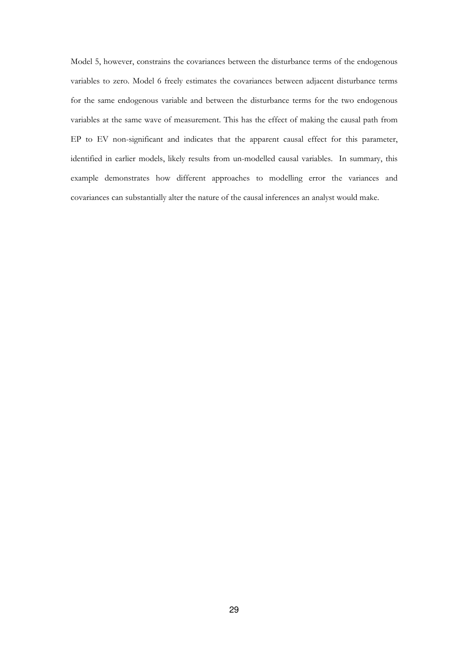Model 5, however, constrains the covariances between the disturbance terms of the endogenous variables to zero. Model 6 freely estimates the covariances between adjacent disturbance terms for the same endogenous variable and between the disturbance terms for the two endogenous variables at the same wave of measurement. This has the effect of making the causal path from EP to EV non-significant and indicates that the apparent causal effect for this parameter, identified in earlier models, likely results from un-modelled causal variables. In summary, this example demonstrates how different approaches to modelling error the variances and covariances can substantially alter the nature of the causal inferences an analyst would make.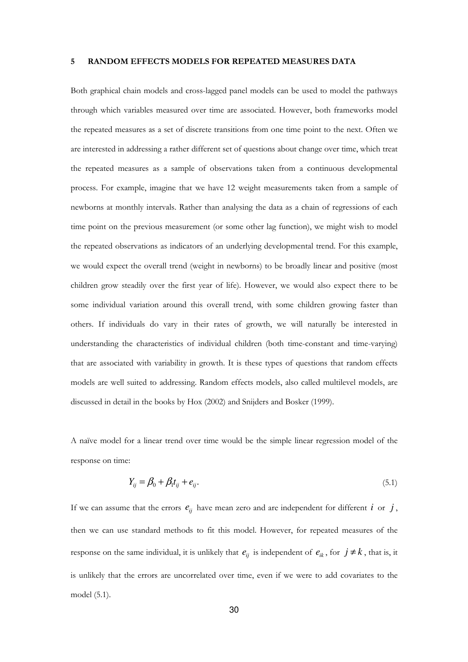#### 5 RANDOM EFFECTS MODELS FOR REPEATED MEASURES DATA

Both graphical chain models and cross-lagged panel models can be used to model the pathways through which variables measured over time are associated. However, both frameworks model the repeated measures as a set of discrete transitions from one time point to the next. Often we are interested in addressing a rather different set of questions about change over time, which treat the repeated measures as a sample of observations taken from a continuous developmental process. For example, imagine that we have 12 weight measurements taken from a sample of newborns at monthly intervals. Rather than analysing the data as a chain of regressions of each time point on the previous measurement (or some other lag function), we might wish to model the repeated observations as indicators of an underlying developmental trend. For this example, we would expect the overall trend (weight in newborns) to be broadly linear and positive (most children grow steadily over the first year of life). However, we would also expect there to be some individual variation around this overall trend, with some children growing faster than others. If individuals do vary in their rates of growth, we will naturally be interested in understanding the characteristics of individual children (both time-constant and time-varying) that are associated with variability in growth. It is these types of questions that random effects models are well suited to addressing. Random effects models, also called multilevel models, are discussed in detail in the books by Hox (2002) and Snijders and Bosker (1999).

A naïve model for a linear trend over time would be the simple linear regression model of the response on time:

$$
Y_{ij} = \beta_0 + \beta_1 t_{ij} + e_{ij}.
$$
\n
$$
(5.1)
$$

If we can assume that the errors  $e_{ij}$  have mean zero and are independent for different *i* or *j*, then we can use standard methods to fit this model. However, for repeated measures of the response on the same individual, it is unlikely that  $e_{ij}$  is independent of  $e_{ik}$ , for  $j \neq k$ , that is, it is unlikely that the errors are uncorrelated over time, even if we were to add covariates to the model (5.1).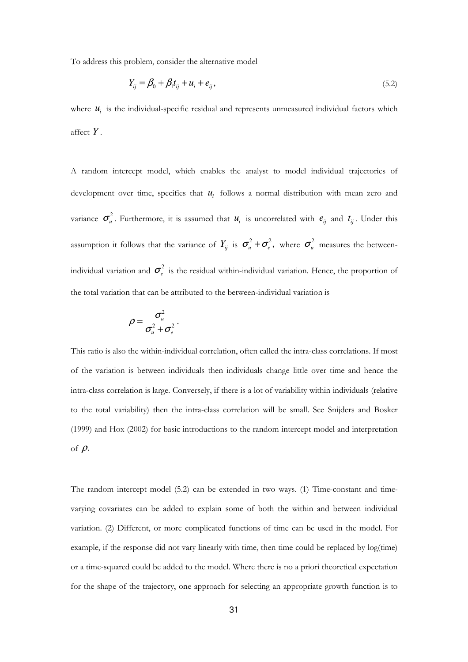To address this problem, consider the alternative model

$$
Y_{ij} = \beta_0 + \beta_1 t_{ij} + u_i + e_{ij},
$$
\n(5.2)

where  $u_i$  is the individual-specific residual and represents unmeasured individual factors which affect *Y* .

A random intercept model, which enables the analyst to model individual trajectories of development over time, specifies that  $u_i$  follows a normal distribution with mean zero and variance  $\sigma_u^2$ . Furthermore, it is assumed that  $u_i$  is uncorrelated with  $e_{ij}$  and  $t_{ij}$ . Under this assumption it follows that the variance of  $Y_{ij}$  is  $\sigma_u^2 + \sigma_e^2$ , where  $\sigma_u^2$  measures the betweenindividual variation and  $\sigma_e^2$  is the residual within-individual variation. Hence, the proportion of the total variation that can be attributed to the between-individual variation is

$$
\rho = \frac{\sigma_u^2}{\sigma_u^2 + \sigma_e^2}.
$$

This ratio is also the within-individual correlation, often called the intra-class correlations. If most of the variation is between individuals then individuals change little over time and hence the intra-class correlation is large. Conversely, if there is a lot of variability within individuals (relative to the total variability) then the intra-class correlation will be small. See Snijders and Bosker (1999) and Hox (2002) for basic introductions to the random intercept model and interpretation of  $\rho$ .

The random intercept model (5.2) can be extended in two ways. (1) Time-constant and timevarying covariates can be added to explain some of both the within and between individual variation. (2) Different, or more complicated functions of time can be used in the model. For example, if the response did not vary linearly with time, then time could be replaced by log(time) or a time-squared could be added to the model. Where there is no a priori theoretical expectation for the shape of the trajectory, one approach for selecting an appropriate growth function is to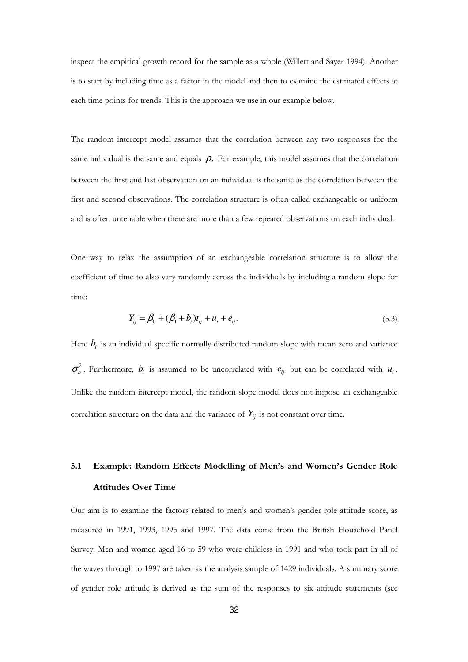inspect the empirical growth record for the sample as a whole (Willett and Sayer 1994). Another is to start by including time as a factor in the model and then to examine the estimated effects at each time points for trends. This is the approach we use in our example below.

The random intercept model assumes that the correlation between any two responses for the same individual is the same and equals  $\rho$ . For example, this model assumes that the correlation between the first and last observation on an individual is the same as the correlation between the first and second observations. The correlation structure is often called exchangeable or uniform and is often untenable when there are more than a few repeated observations on each individual.

One way to relax the assumption of an exchangeable correlation structure is to allow the coefficient of time to also vary randomly across the individuals by including a random slope for time:

$$
Y_{ij} = \beta_0 + (\beta_1 + b_i)t_{ij} + u_i + e_{ij}.
$$
\n(5.3)

Here  $b_i$  is an individual specific normally distributed random slope with mean zero and variance  $\sigma_b^2$ . Furthermore,  $b_i$  is assumed to be uncorrelated with  $e_{ij}$  but can be correlated with  $u_i$ . Unlike the random intercept model, the random slope model does not impose an exchangeable correlation structure on the data and the variance of  $Y_{ij}$  is not constant over time.

# 5.1 Example: Random Effects Modelling of Men's and Women's Gender Role Attitudes Over Time

Our aim is to examine the factors related to men's and women's gender role attitude score, as measured in 1991, 1993, 1995 and 1997. The data come from the British Household Panel Survey. Men and women aged 16 to 59 who were childless in 1991 and who took part in all of the waves through to 1997 are taken as the analysis sample of 1429 individuals. A summary score of gender role attitude is derived as the sum of the responses to six attitude statements (see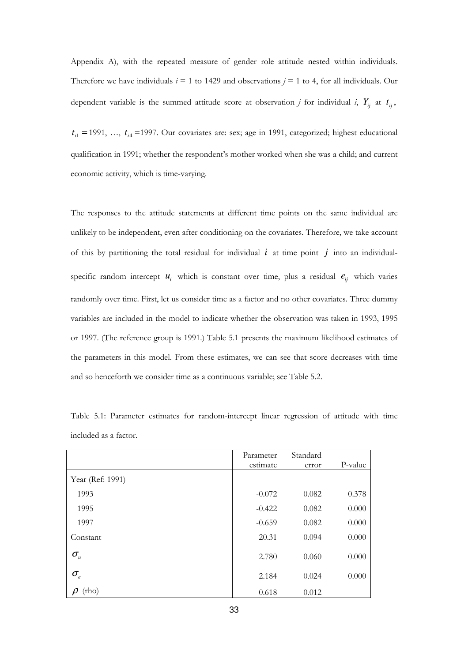Appendix A), with the repeated measure of gender role attitude nested within individuals. Therefore we have individuals  $i = 1$  to 1429 and observations  $j = 1$  to 4, for all individuals. Our dependent variable is the summed attitude score at observation *j* for individual *i*,  $Y_{ij}$  at  $t_{ij}$ ,

 $t_{i1}$  = 1991, …,  $t_{i4}$  = 1997. Our covariates are: sex; age in 1991, categorized; highest educational qualification in 1991; whether the respondent's mother worked when she was a child; and current economic activity, which is time-varying.

The responses to the attitude statements at different time points on the same individual are unlikely to be independent, even after conditioning on the covariates. Therefore, we take account of this by partitioning the total residual for individual *i* at time point *j* into an individualspecific random intercept  $u_i$  which is constant over time, plus a residual  $e_{ij}$  which varies randomly over time. First, let us consider time as a factor and no other covariates. Three dummy variables are included in the model to indicate whether the observation was taken in 1993, 1995 or 1997. (The reference group is 1991.) Table 5.1 presents the maximum likelihood estimates of the parameters in this model. From these estimates, we can see that score decreases with time and so henceforth we consider time as a continuous variable; see Table 5.2.

|                                 | Parameter | Standard |         |
|---------------------------------|-----------|----------|---------|
|                                 | estimate  | error    | P-value |
| Year (Ref: 1991)                |           |          |         |
| 1993                            | $-0.072$  | 0.082    | 0.378   |
| 1995                            | $-0.422$  | 0.082    | 0.000   |
| 1997                            | $-0.659$  | 0.082    | 0.000   |
| Constant                        | 20.31     | 0.094    | 0.000   |
| $\sigma_{u}$                    | 2.780     | 0.060    | 0.000   |
| $\sigma_{\scriptscriptstyle e}$ | 2.184     | 0.024    | 0.000   |
| (rho)                           | 0.618     | 0.012    |         |

Table 5.1: Parameter estimates for random-intercept linear regression of attitude with time included as a factor.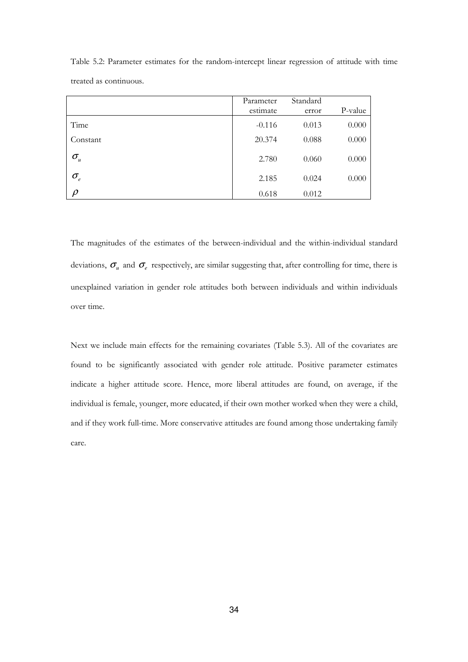|                                 | Parameter<br>estimate | Standard<br>error | P-value |
|---------------------------------|-----------------------|-------------------|---------|
| Time                            | $-0.116$              | 0.013             | 0.000   |
| Constant                        | 20.374                | 0.088             | 0.000   |
| $\sigma_{\scriptscriptstyle u}$ | 2.780                 | 0.060             | 0.000   |
| $\sigma_{\scriptscriptstyle e}$ | 2.185                 | 0.024             | 0.000   |
| n                               | 0.618                 | 0.012             |         |

Table 5.2: Parameter estimates for the random-intercept linear regression of attitude with time treated as continuous.

The magnitudes of the estimates of the between-individual and the within-individual standard deviations,  $\sigma_u$  and  $\sigma_e$  respectively, are similar suggesting that, after controlling for time, there is unexplained variation in gender role attitudes both between individuals and within individuals over time.

Next we include main effects for the remaining covariates (Table 5.3). All of the covariates are found to be significantly associated with gender role attitude. Positive parameter estimates indicate a higher attitude score. Hence, more liberal attitudes are found, on average, if the individual is female, younger, more educated, if their own mother worked when they were a child, and if they work full-time. More conservative attitudes are found among those undertaking family care.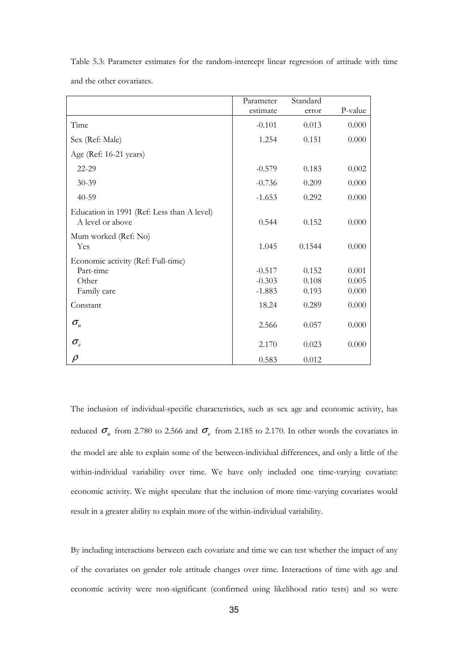|                                                                | Parameter | Standard |         |
|----------------------------------------------------------------|-----------|----------|---------|
|                                                                | estimate  | error    | P-value |
| Time                                                           | $-0.101$  | 0.013    | 0.000   |
| Sex (Ref: Male)                                                | 1.254     | 0.151    | 0.000   |
| Age (Ref: 16-21 years)                                         |           |          |         |
| 22-29                                                          | $-0.579$  | 0.183    | 0.002   |
| $30 - 39$                                                      | $-0.736$  | 0.209    | 0.000   |
| $40 - 59$                                                      | $-1.653$  | 0.292    | 0.000   |
| Education in 1991 (Ref: Less than A level)<br>A level or above | 0.544     | 0.152    | 0.000   |
| Mum worked (Ref: No)<br>Yes                                    | 1.045     | 0.1544   | 0.000   |
| Economic activity (Ref: Full-time)                             |           |          |         |
| Part-time                                                      | $-0.517$  | 0.152    | 0.001   |
| Other                                                          | $-0.303$  | 0.108    | 0.005   |
| Family care                                                    | $-1.883$  | 0.193    | 0.000   |
| Constant                                                       | 18.24     | 0.289    | 0.000   |
| $\sigma_{\rm u}$                                               | 2.566     | 0.057    | 0.000   |
| $\sigma_{\scriptscriptstyle e}$                                | 2.170     | 0.023    | 0.000   |
| $\rho$                                                         | 0.583     | 0.012    |         |

Table 5.3: Parameter estimates for the random-intercept linear regression of attitude with time and the other covariates.

The inclusion of individual-specific characteristics, such as sex age and economic activity, has reduced  $\sigma_u$  from 2.780 to 2.566 and  $\sigma_e$  from 2.185 to 2.170. In other words the covariates in the model are able to explain some of the between-individual differences, and only a little of the within-individual variability over time. We have only included one time-varying covariate: economic activity. We might speculate that the inclusion of more time-varying covariates would result in a greater ability to explain more of the within-individual variability.

By including interactions between each covariate and time we can test whether the impact of any of the covariates on gender role attitude changes over time. Interactions of time with age and economic activity were non-significant (confirmed using likelihood ratio tests) and so were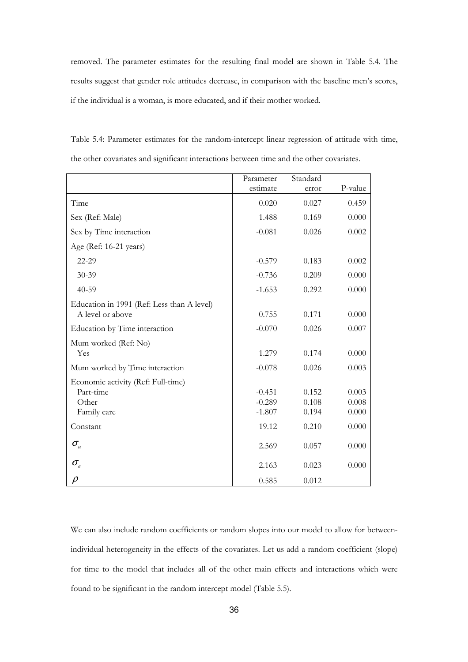removed. The parameter estimates for the resulting final model are shown in Table 5.4. The results suggest that gender role attitudes decrease, in comparison with the baseline men's scores, if the individual is a woman, is more educated, and if their mother worked.

|                                            | Parameter | Standard |         |
|--------------------------------------------|-----------|----------|---------|
|                                            | estimate  | error    | P-value |
| Time                                       | 0.020     | 0.027    | 0.459   |
| Sex (Ref: Male)                            | 1.488     | 0.169    | 0.000   |
| Sex by Time interaction                    | $-0.081$  | 0.026    | 0.002   |
| Age (Ref: 16-21 years)                     |           |          |         |
| 22-29                                      | $-0.579$  | 0.183    | 0.002   |
| 30-39                                      | $-0.736$  | 0.209    | 0.000   |
| $40 - 59$                                  | $-1.653$  | 0.292    | 0.000   |
| Education in 1991 (Ref: Less than A level) |           |          |         |
| A level or above                           | 0.755     | 0.171    | 0.000   |
| Education by Time interaction              | $-0.070$  | 0.026    | 0.007   |
| Mum worked (Ref: No)                       |           |          |         |
| Yes                                        | 1.279     | 0.174    | 0.000   |
| Mum worked by Time interaction             | $-0.078$  | 0.026    | 0.003   |
| Economic activity (Ref: Full-time)         |           |          |         |
| Part-time                                  | $-0.451$  | 0.152    | 0.003   |
| Other                                      | $-0.289$  | 0.108    | 0.008   |
| Family care                                | $-1.807$  | 0.194    | 0.000   |
| Constant                                   | 19.12     | 0.210    | 0.000   |
| $\sigma_{\rm u}$                           | 2.569     | 0.057    | 0.000   |
| $\sigma_{\rm _e}$                          | 2.163     | 0.023    | 0.000   |
| $\rho$                                     | 0.585     | 0.012    |         |

Table 5.4: Parameter estimates for the random-intercept linear regression of attitude with time, the other covariates and significant interactions between time and the other covariates.

We can also include random coefficients or random slopes into our model to allow for betweenindividual heterogeneity in the effects of the covariates. Let us add a random coefficient (slope) for time to the model that includes all of the other main effects and interactions which were found to be significant in the random intercept model (Table 5.5).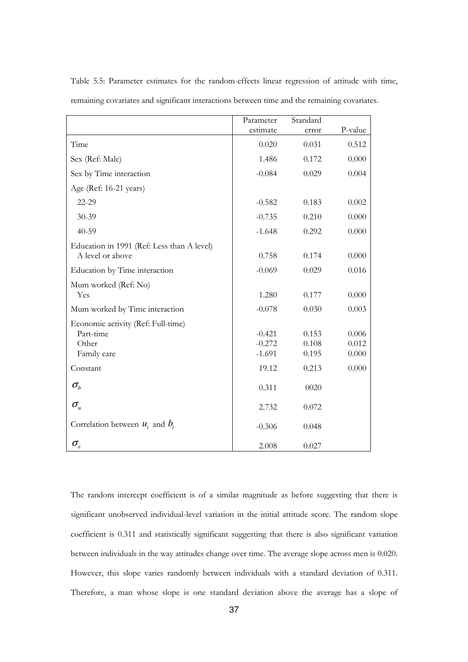|                                            | Parameter | Standard |         |
|--------------------------------------------|-----------|----------|---------|
|                                            | estimate  | error    | P-value |
| Time                                       | 0.020     | 0.031    | 0.512   |
| Sex (Ref: Male)                            | 1.486     | 0.172    | 0.000   |
| Sex by Time interaction                    | $-0.084$  | 0.029    | 0.004   |
| Age (Ref: 16-21 years)                     |           |          |         |
| 22-29                                      | $-0.582$  | 0.183    | 0.002   |
| $30 - 39$                                  | $-0.735$  | 0.210    | 0.000   |
| $40 - 59$                                  | $-1.648$  | 0.292    | 0.000   |
| Education in 1991 (Ref: Less than A level) |           |          |         |
| A level or above                           | 0.758     | 0.174    | 0.000   |
| Education by Time interaction              | $-0.069$  | 0.029    | 0.016   |
| Mum worked (Ref: No)                       |           |          |         |
| Yes                                        | 1.280     | 0.177    | 0.000   |
| Mum worked by Time interaction             | $-0.078$  | 0.030    | 0.003   |
| Economic activity (Ref: Full-time)         |           |          |         |
| Part-time                                  | $-0.421$  | 0.153    | 0.006   |
| Other                                      | $-0.272$  | 0.108    | 0.012   |
| Family care                                | $-1.691$  | 0.195    | 0.000   |
| Constant                                   | 19.12     | 0.213    | 0.000   |
| $\sigma_{\scriptscriptstyle b}$            | 0.311     | 0020     |         |
| $\sigma_{\rm u}$                           | 2.732     | 0.072    |         |
| Correlation between $u_i$ and $b_i$        | $-0.306$  | 0.048    |         |
| $\sigma_{\scriptscriptstyle e}$            | 2.008     | 0.027    |         |

Table 5.5: Parameter estimates for the random-effects linear regression of attitude with time, remaining covariates and significant interactions between time and the remaining covariates.

The random intercept coefficient is of a similar magnitude as before suggesting that there is significant unobserved individual-level variation in the initial attitude score. The random slope coefficient is 0.311 and statistically significant suggesting that there is also significant variation between individuals in the way attitudes change over time. The average slope across men is 0.020. However, this slope varies randomly between individuals with a standard deviation of 0.311. Therefore, a man whose slope is one standard deviation above the average has a slope of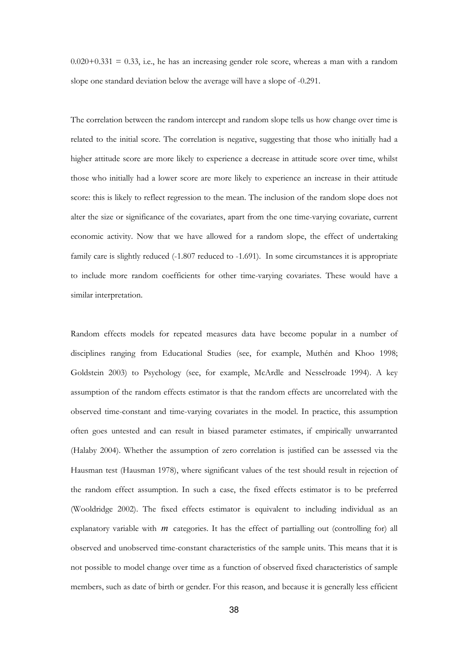$0.020+0.331 = 0.33$ , i.e., he has an increasing gender role score, whereas a man with a random slope one standard deviation below the average will have a slope of -0.291.

The correlation between the random intercept and random slope tells us how change over time is related to the initial score. The correlation is negative, suggesting that those who initially had a higher attitude score are more likely to experience a decrease in attitude score over time, whilst those who initially had a lower score are more likely to experience an increase in their attitude score: this is likely to reflect regression to the mean. The inclusion of the random slope does not alter the size or significance of the covariates, apart from the one time-varying covariate, current economic activity. Now that we have allowed for a random slope, the effect of undertaking family care is slightly reduced (-1.807 reduced to -1.691). In some circumstances it is appropriate to include more random coefficients for other time-varying covariates. These would have a similar interpretation.

Random effects models for repeated measures data have become popular in a number of disciplines ranging from Educational Studies (see, for example, Muthén and Khoo 1998; Goldstein 2003) to Psychology (see, for example, McArdle and Nesselroade 1994). A key assumption of the random effects estimator is that the random effects are uncorrelated with the observed time-constant and time-varying covariates in the model. In practice, this assumption often goes untested and can result in biased parameter estimates, if empirically unwarranted (Halaby 2004). Whether the assumption of zero correlation is justified can be assessed via the Hausman test (Hausman 1978), where significant values of the test should result in rejection of the random effect assumption. In such a case, the fixed effects estimator is to be preferred (Wooldridge 2002). The fixed effects estimator is equivalent to including individual as an explanatory variable with *m* categories. It has the effect of partialling out (controlling for) all observed and unobserved time-constant characteristics of the sample units. This means that it is not possible to model change over time as a function of observed fixed characteristics of sample members, such as date of birth or gender. For this reason, and because it is generally less efficient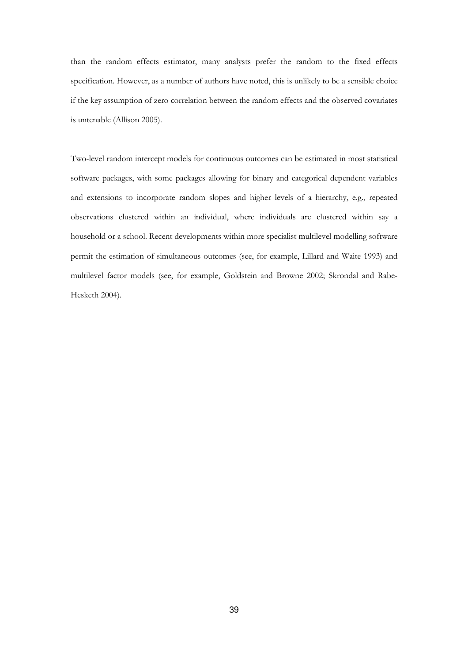than the random effects estimator, many analysts prefer the random to the fixed effects specification. However, as a number of authors have noted, this is unlikely to be a sensible choice if the key assumption of zero correlation between the random effects and the observed covariates is untenable (Allison 2005).

Two-level random intercept models for continuous outcomes can be estimated in most statistical software packages, with some packages allowing for binary and categorical dependent variables and extensions to incorporate random slopes and higher levels of a hierarchy, e.g., repeated observations clustered within an individual, where individuals are clustered within say a household or a school. Recent developments within more specialist multilevel modelling software permit the estimation of simultaneous outcomes (see, for example, Lillard and Waite 1993) and multilevel factor models (see, for example, Goldstein and Browne 2002; Skrondal and Rabe-Hesketh 2004).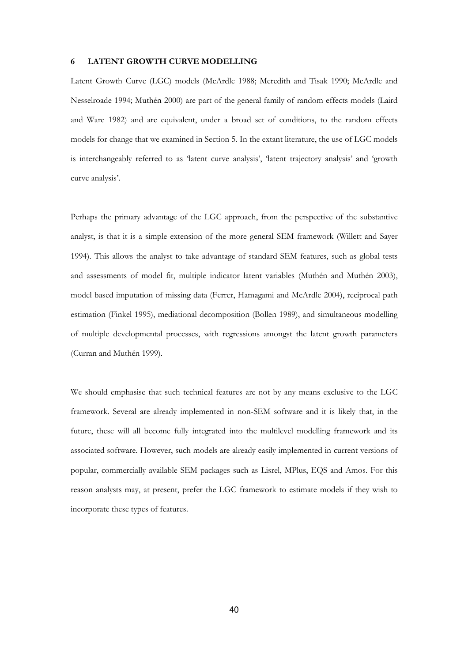#### 6 LATENT GROWTH CURVE MODELLING

Latent Growth Curve (LGC) models (McArdle 1988; Meredith and Tisak 1990; McArdle and Nesselroade 1994; Muthén 2000) are part of the general family of random effects models (Laird and Ware 1982) and are equivalent, under a broad set of conditions, to the random effects models for change that we examined in Section 5. In the extant literature, the use of LGC models is interchangeably referred to as 'latent curve analysis', 'latent trajectory analysis' and 'growth curve analysis'.

Perhaps the primary advantage of the LGC approach, from the perspective of the substantive analyst, is that it is a simple extension of the more general SEM framework (Willett and Sayer 1994). This allows the analyst to take advantage of standard SEM features, such as global tests and assessments of model fit, multiple indicator latent variables (Muthén and Muthén 2003), model based imputation of missing data (Ferrer, Hamagami and McArdle 2004), reciprocal path estimation (Finkel 1995), mediational decomposition (Bollen 1989), and simultaneous modelling of multiple developmental processes, with regressions amongst the latent growth parameters (Curran and Muthén 1999).

We should emphasise that such technical features are not by any means exclusive to the LGC framework. Several are already implemented in non-SEM software and it is likely that, in the future, these will all become fully integrated into the multilevel modelling framework and its associated software. However, such models are already easily implemented in current versions of popular, commercially available SEM packages such as Lisrel, MPlus, EQS and Amos. For this reason analysts may, at present, prefer the LGC framework to estimate models if they wish to incorporate these types of features.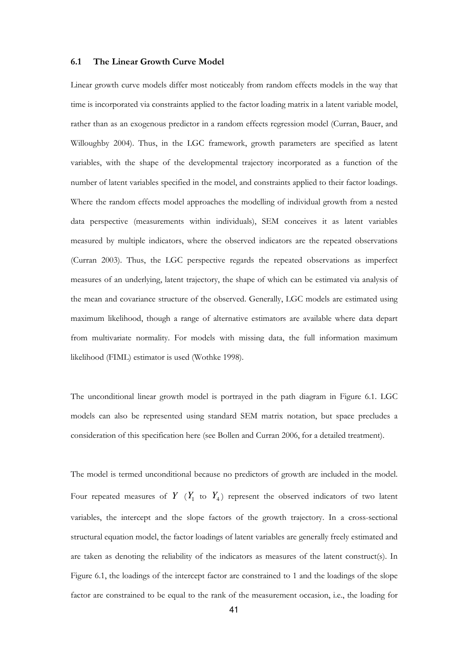#### 6.1 The Linear Growth Curve Model

Linear growth curve models differ most noticeably from random effects models in the way that time is incorporated via constraints applied to the factor loading matrix in a latent variable model, rather than as an exogenous predictor in a random effects regression model (Curran, Bauer, and Willoughby 2004). Thus, in the LGC framework, growth parameters are specified as latent variables, with the shape of the developmental trajectory incorporated as a function of the number of latent variables specified in the model, and constraints applied to their factor loadings. Where the random effects model approaches the modelling of individual growth from a nested data perspective (measurements within individuals), SEM conceives it as latent variables measured by multiple indicators, where the observed indicators are the repeated observations (Curran 2003). Thus, the LGC perspective regards the repeated observations as imperfect measures of an underlying, latent trajectory, the shape of which can be estimated via analysis of the mean and covariance structure of the observed. Generally, LGC models are estimated using maximum likelihood, though a range of alternative estimators are available where data depart from multivariate normality. For models with missing data, the full information maximum likelihood (FIML) estimator is used (Wothke 1998).

The unconditional linear growth model is portrayed in the path diagram in Figure 6.1. LGC models can also be represented using standard SEM matrix notation, but space precludes a consideration of this specification here (see Bollen and Curran 2006, for a detailed treatment).

The model is termed unconditional because no predictors of growth are included in the model. Four repeated measures of  $Y$  ( $Y_1$  to  $Y_4$ ) represent the observed indicators of two latent variables, the intercept and the slope factors of the growth trajectory. In a cross-sectional structural equation model, the factor loadings of latent variables are generally freely estimated and are taken as denoting the reliability of the indicators as measures of the latent construct(s). In Figure 6.1, the loadings of the intercept factor are constrained to 1 and the loadings of the slope factor are constrained to be equal to the rank of the measurement occasion, i.e., the loading for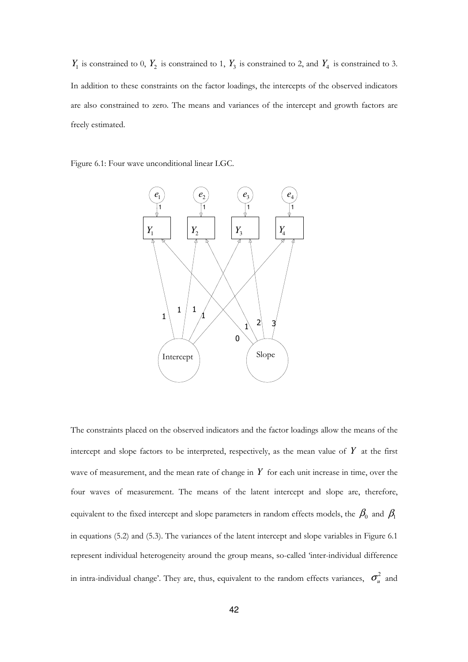$Y_1$  is constrained to 0,  $Y_2$  is constrained to 1,  $Y_3$  is constrained to 2, and  $Y_4$  is constrained to 3. In addition to these constraints on the factor loadings, the intercepts of the observed indicators are also constrained to zero. The means and variances of the intercept and growth factors are freely estimated.

Figure 6.1: Four wave unconditional linear LGC.



The constraints placed on the observed indicators and the factor loadings allow the means of the intercept and slope factors to be interpreted, respectively, as the mean value of  $Y$  at the first wave of measurement, and the mean rate of change in *Y* for each unit increase in time, over the four waves of measurement. The means of the latent intercept and slope are, therefore, equivalent to the fixed intercept and slope parameters in random effects models, the  $\,\beta_{\!0}\,$  and  $\,\beta_{\!1}\,$ in equations (5.2) and (5.3). The variances of the latent intercept and slope variables in Figure 6.1 represent individual heterogeneity around the group means, so-called 'inter-individual difference in intra-individual change'. They are, thus, equivalent to the random effects variances,  $\sigma_u^2$  and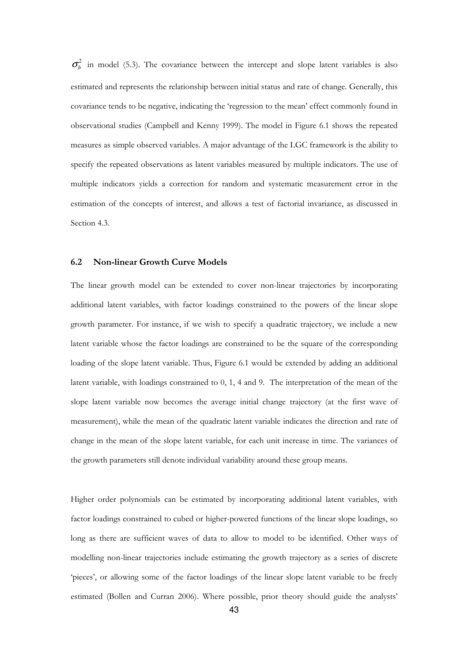$\sigma_b^2$  in model (5.3). The covariance between the intercept and slope latent variables is also estimated and represents the relationship between initial status and rate of change. Generally, this covariance tends to be negative, indicating the 'regression to the mean' effect commonly found in observational studies (Campbell and Kenny 1999). The model in Figure 6.1 shows the repeated measures as simple observed variables. A major advantage of the LGC framework is the ability to specify the repeated observations as latent variables measured by multiple indicators. The use of multiple indicators yields a correction for random and systematic measurement error in the estimation of the concepts of interest, and allows a test of factorial invariance, as discussed in Section 4.3.

#### 6.2 Non-linear Growth Curve Models

The linear growth model can be extended to cover non-linear trajectories by incorporating additional latent variables, with factor loadings constrained to the powers of the linear slope growth parameter. For instance, if we wish to specify a quadratic trajectory, we include a new latent variable whose the factor loadings are constrained to be the square of the corresponding loading of the slope latent variable. Thus, Figure 6.1 would be extended by adding an additional latent variable, with loadings constrained to 0, 1, 4 and 9. The interpretation of the mean of the slope latent variable now becomes the average initial change trajectory (at the first wave of measurement), while the mean of the quadratic latent variable indicates the direction and rate of change in the mean of the slope latent variable, for each unit increase in time. The variances of the growth parameters still denote individual variability around these group means.

Higher order polynomials can be estimated by incorporating additional latent variables, with factor loadings constrained to cubed or higher-powered functions of the linear slope loadings, so long as there are sufficient waves of data to allow to model to be identified. Other ways of modelling non-linear trajectories include estimating the growth trajectory as a series of discrete 'pieces', or allowing some of the factor loadings of the linear slope latent variable to be freely estimated (Bollen and Curran 2006). Where possible, prior theory should guide the analysts'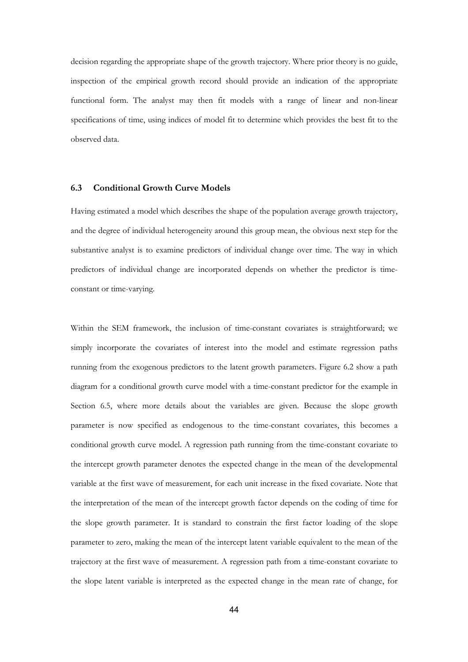decision regarding the appropriate shape of the growth trajectory. Where prior theory is no guide, inspection of the empirical growth record should provide an indication of the appropriate functional form. The analyst may then fit models with a range of linear and non-linear specifications of time, using indices of model fit to determine which provides the best fit to the observed data.

#### 6.3 Conditional Growth Curve Models

Having estimated a model which describes the shape of the population average growth trajectory, and the degree of individual heterogeneity around this group mean, the obvious next step for the substantive analyst is to examine predictors of individual change over time. The way in which predictors of individual change are incorporated depends on whether the predictor is timeconstant or time-varying.

Within the SEM framework, the inclusion of time-constant covariates is straightforward; we simply incorporate the covariates of interest into the model and estimate regression paths running from the exogenous predictors to the latent growth parameters. Figure 6.2 show a path diagram for a conditional growth curve model with a time-constant predictor for the example in Section 6.5, where more details about the variables are given. Because the slope growth parameter is now specified as endogenous to the time-constant covariates, this becomes a conditional growth curve model. A regression path running from the time-constant covariate to the intercept growth parameter denotes the expected change in the mean of the developmental variable at the first wave of measurement, for each unit increase in the fixed covariate. Note that the interpretation of the mean of the intercept growth factor depends on the coding of time for the slope growth parameter. It is standard to constrain the first factor loading of the slope parameter to zero, making the mean of the intercept latent variable equivalent to the mean of the trajectory at the first wave of measurement. A regression path from a time-constant covariate to the slope latent variable is interpreted as the expected change in the mean rate of change, for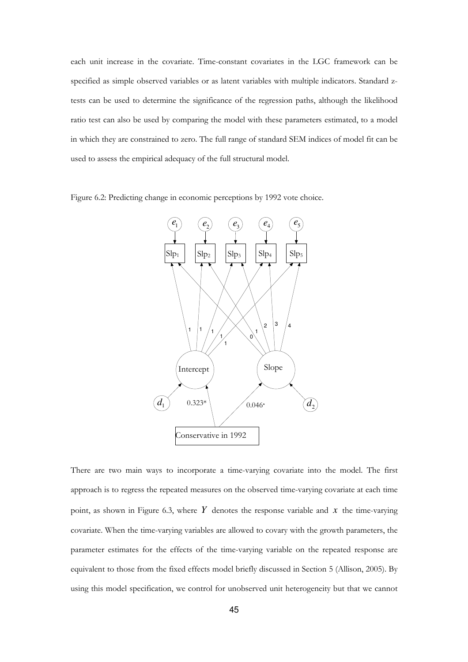each unit increase in the covariate. Time-constant covariates in the LGC framework can be specified as simple observed variables or as latent variables with multiple indicators. Standard ztests can be used to determine the significance of the regression paths, although the likelihood ratio test can also be used by comparing the model with these parameters estimated, to a model in which they are constrained to zero. The full range of standard SEM indices of model fit can be used to assess the empirical adequacy of the full structural model.

Figure 6.2: Predicting change in economic perceptions by 1992 vote choice.



There are two main ways to incorporate a time-varying covariate into the model. The first approach is to regress the repeated measures on the observed time-varying covariate at each time point, as shown in Figure 6.3, where  $Y$  denotes the response variable and  $x$  the time-varying covariate. When the time-varying variables are allowed to covary with the growth parameters, the parameter estimates for the effects of the time-varying variable on the repeated response are equivalent to those from the fixed effects model briefly discussed in Section 5 (Allison, 2005). By using this model specification, we control for unobserved unit heterogeneity but that we cannot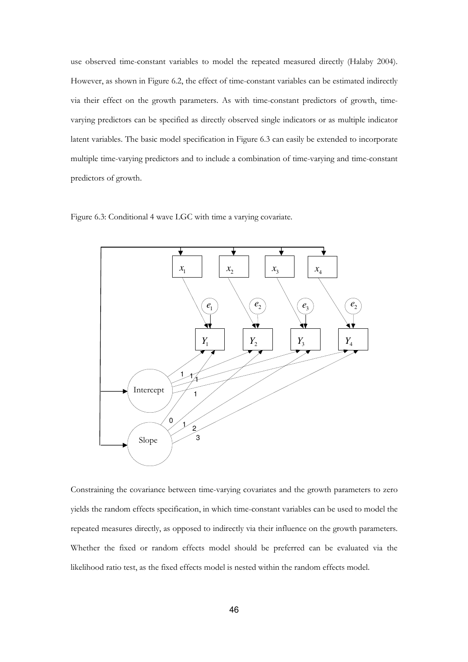use observed time-constant variables to model the repeated measured directly (Halaby 2004). However, as shown in Figure 6.2, the effect of time-constant variables can be estimated indirectly via their effect on the growth parameters. As with time-constant predictors of growth, timevarying predictors can be specified as directly observed single indicators or as multiple indicator latent variables. The basic model specification in Figure 6.3 can easily be extended to incorporate multiple time-varying predictors and to include a combination of time-varying and time-constant predictors of growth.

Figure 6.3: Conditional 4 wave LGC with time a varying covariate.



Constraining the covariance between time-varying covariates and the growth parameters to zero yields the random effects specification, in which time-constant variables can be used to model the repeated measures directly, as opposed to indirectly via their influence on the growth parameters. Whether the fixed or random effects model should be preferred can be evaluated via the likelihood ratio test, as the fixed effects model is nested within the random effects model.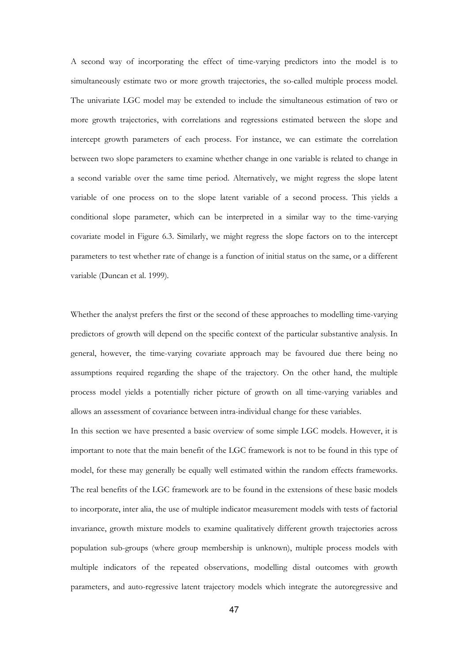A second way of incorporating the effect of time-varying predictors into the model is to simultaneously estimate two or more growth trajectories, the so-called multiple process model. The univariate LGC model may be extended to include the simultaneous estimation of two or more growth trajectories, with correlations and regressions estimated between the slope and intercept growth parameters of each process. For instance, we can estimate the correlation between two slope parameters to examine whether change in one variable is related to change in a second variable over the same time period. Alternatively, we might regress the slope latent variable of one process on to the slope latent variable of a second process. This yields a conditional slope parameter, which can be interpreted in a similar way to the time-varying covariate model in Figure 6.3. Similarly, we might regress the slope factors on to the intercept parameters to test whether rate of change is a function of initial status on the same, or a different variable (Duncan et al. 1999).

Whether the analyst prefers the first or the second of these approaches to modelling time-varying predictors of growth will depend on the specific context of the particular substantive analysis. In general, however, the time-varying covariate approach may be favoured due there being no assumptions required regarding the shape of the trajectory. On the other hand, the multiple process model yields a potentially richer picture of growth on all time-varying variables and allows an assessment of covariance between intra-individual change for these variables.

In this section we have presented a basic overview of some simple LGC models. However, it is important to note that the main benefit of the LGC framework is not to be found in this type of model, for these may generally be equally well estimated within the random effects frameworks. The real benefits of the LGC framework are to be found in the extensions of these basic models to incorporate, inter alia, the use of multiple indicator measurement models with tests of factorial invariance, growth mixture models to examine qualitatively different growth trajectories across population sub-groups (where group membership is unknown), multiple process models with multiple indicators of the repeated observations, modelling distal outcomes with growth parameters, and auto-regressive latent trajectory models which integrate the autoregressive and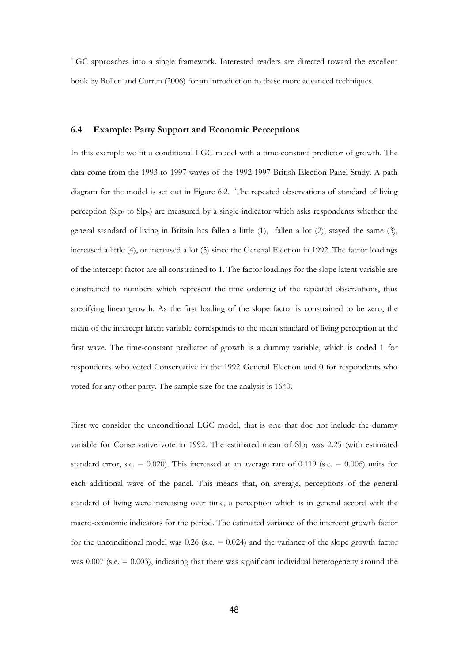LGC approaches into a single framework. Interested readers are directed toward the excellent book by Bollen and Curren (2006) for an introduction to these more advanced techniques.

#### 6.4 Example: Party Support and Economic Perceptions

In this example we fit a conditional LGC model with a time-constant predictor of growth. The data come from the 1993 to 1997 waves of the 1992-1997 British Election Panel Study. A path diagram for the model is set out in Figure 6.2. The repeated observations of standard of living perception (Slp1 to Slp5) are measured by a single indicator which asks respondents whether the general standard of living in Britain has fallen a little (1), fallen a lot (2), stayed the same (3), increased a little (4), or increased a lot (5) since the General Election in 1992. The factor loadings of the intercept factor are all constrained to 1. The factor loadings for the slope latent variable are constrained to numbers which represent the time ordering of the repeated observations, thus specifying linear growth. As the first loading of the slope factor is constrained to be zero, the mean of the intercept latent variable corresponds to the mean standard of living perception at the first wave. The time-constant predictor of growth is a dummy variable, which is coded 1 for respondents who voted Conservative in the 1992 General Election and 0 for respondents who voted for any other party. The sample size for the analysis is 1640.

First we consider the unconditional LGC model, that is one that doe not include the dummy variable for Conservative vote in 1992. The estimated mean of  $\text{Slp}_1$  was 2.25 (with estimated standard error, s.e.  $= 0.020$ ). This increased at an average rate of 0.119 (s.e.  $= 0.006$ ) units for each additional wave of the panel. This means that, on average, perceptions of the general standard of living were increasing over time, a perception which is in general accord with the macro-economic indicators for the period. The estimated variance of the intercept growth factor for the unconditional model was  $0.26$  (s.e.  $= 0.024$ ) and the variance of the slope growth factor was  $0.007$  (s.e.  $= 0.003$ ), indicating that there was significant individual heterogeneity around the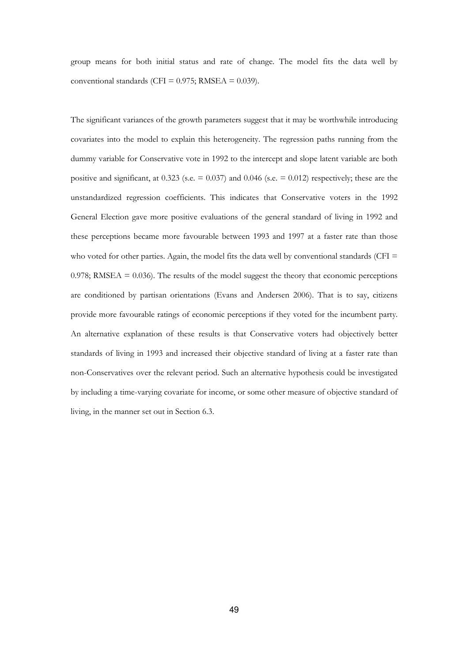group means for both initial status and rate of change. The model fits the data well by conventional standards (CFI =  $0.975$ ; RMSEA =  $0.039$ ).

The significant variances of the growth parameters suggest that it may be worthwhile introducing covariates into the model to explain this heterogeneity. The regression paths running from the dummy variable for Conservative vote in 1992 to the intercept and slope latent variable are both positive and significant, at  $0.323$  (s.e.  $= 0.037$ ) and  $0.046$  (s.e.  $= 0.012$ ) respectively; these are the unstandardized regression coefficients. This indicates that Conservative voters in the 1992 General Election gave more positive evaluations of the general standard of living in 1992 and these perceptions became more favourable between 1993 and 1997 at a faster rate than those who voted for other parties. Again, the model fits the data well by conventional standards (CFI  $=$  $0.978$ ; RMSEA =  $0.036$ ). The results of the model suggest the theory that economic perceptions are conditioned by partisan orientations (Evans and Andersen 2006). That is to say, citizens provide more favourable ratings of economic perceptions if they voted for the incumbent party. An alternative explanation of these results is that Conservative voters had objectively better standards of living in 1993 and increased their objective standard of living at a faster rate than non-Conservatives over the relevant period. Such an alternative hypothesis could be investigated by including a time-varying covariate for income, or some other measure of objective standard of living, in the manner set out in Section 6.3.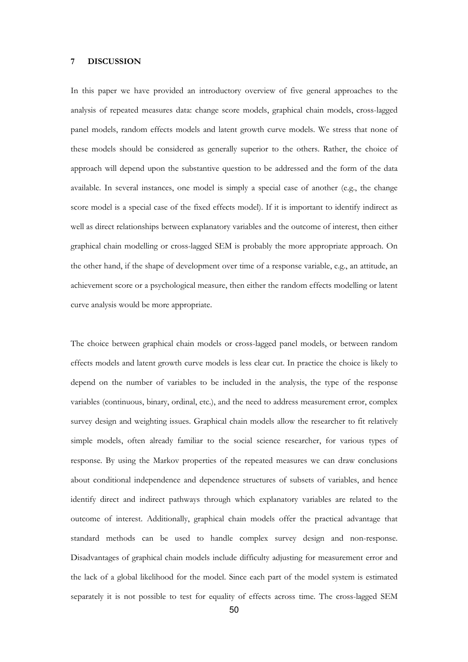#### 7 DISCUSSION

In this paper we have provided an introductory overview of five general approaches to the analysis of repeated measures data: change score models, graphical chain models, cross-lagged panel models, random effects models and latent growth curve models. We stress that none of these models should be considered as generally superior to the others. Rather, the choice of approach will depend upon the substantive question to be addressed and the form of the data available. In several instances, one model is simply a special case of another (e.g., the change score model is a special case of the fixed effects model). If it is important to identify indirect as well as direct relationships between explanatory variables and the outcome of interest, then either graphical chain modelling or cross-lagged SEM is probably the more appropriate approach. On the other hand, if the shape of development over time of a response variable, e.g., an attitude, an achievement score or a psychological measure, then either the random effects modelling or latent curve analysis would be more appropriate.

The choice between graphical chain models or cross-lagged panel models, or between random effects models and latent growth curve models is less clear cut. In practice the choice is likely to depend on the number of variables to be included in the analysis, the type of the response variables (continuous, binary, ordinal, etc.), and the need to address measurement error, complex survey design and weighting issues. Graphical chain models allow the researcher to fit relatively simple models, often already familiar to the social science researcher, for various types of response. By using the Markov properties of the repeated measures we can draw conclusions about conditional independence and dependence structures of subsets of variables, and hence identify direct and indirect pathways through which explanatory variables are related to the outcome of interest. Additionally, graphical chain models offer the practical advantage that standard methods can be used to handle complex survey design and non-response. Disadvantages of graphical chain models include difficulty adjusting for measurement error and the lack of a global likelihood for the model. Since each part of the model system is estimated separately it is not possible to test for equality of effects across time. The cross-lagged SEM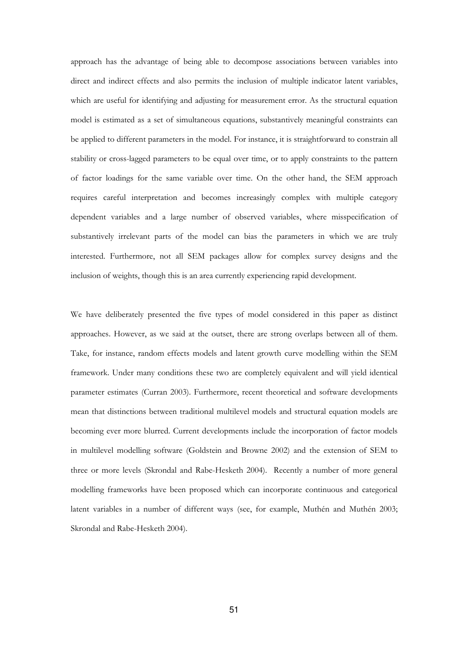approach has the advantage of being able to decompose associations between variables into direct and indirect effects and also permits the inclusion of multiple indicator latent variables, which are useful for identifying and adjusting for measurement error. As the structural equation model is estimated as a set of simultaneous equations, substantively meaningful constraints can be applied to different parameters in the model. For instance, it is straightforward to constrain all stability or cross-lagged parameters to be equal over time, or to apply constraints to the pattern of factor loadings for the same variable over time. On the other hand, the SEM approach requires careful interpretation and becomes increasingly complex with multiple category dependent variables and a large number of observed variables, where misspecification of substantively irrelevant parts of the model can bias the parameters in which we are truly interested. Furthermore, not all SEM packages allow for complex survey designs and the inclusion of weights, though this is an area currently experiencing rapid development.

We have deliberately presented the five types of model considered in this paper as distinct approaches. However, as we said at the outset, there are strong overlaps between all of them. Take, for instance, random effects models and latent growth curve modelling within the SEM framework. Under many conditions these two are completely equivalent and will yield identical parameter estimates (Curran 2003). Furthermore, recent theoretical and software developments mean that distinctions between traditional multilevel models and structural equation models are becoming ever more blurred. Current developments include the incorporation of factor models in multilevel modelling software (Goldstein and Browne 2002) and the extension of SEM to three or more levels (Skrondal and Rabe-Hesketh 2004). Recently a number of more general modelling frameworks have been proposed which can incorporate continuous and categorical latent variables in a number of different ways (see, for example, Muthén and Muthén 2003; Skrondal and Rabe-Hesketh 2004).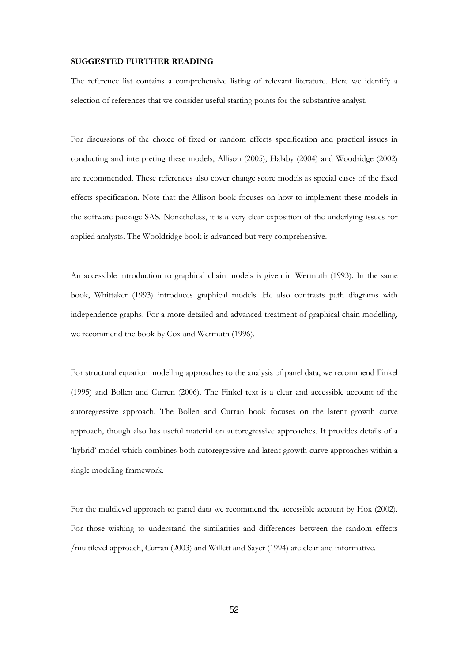#### SUGGESTED FURTHER READING

The reference list contains a comprehensive listing of relevant literature. Here we identify a selection of references that we consider useful starting points for the substantive analyst.

For discussions of the choice of fixed or random effects specification and practical issues in conducting and interpreting these models, Allison (2005), Halaby (2004) and Woodridge (2002) are recommended. These references also cover change score models as special cases of the fixed effects specification. Note that the Allison book focuses on how to implement these models in the software package SAS. Nonetheless, it is a very clear exposition of the underlying issues for applied analysts. The Wooldridge book is advanced but very comprehensive.

An accessible introduction to graphical chain models is given in Wermuth (1993). In the same book, Whittaker (1993) introduces graphical models. He also contrasts path diagrams with independence graphs. For a more detailed and advanced treatment of graphical chain modelling, we recommend the book by Cox and Wermuth (1996).

For structural equation modelling approaches to the analysis of panel data, we recommend Finkel (1995) and Bollen and Curren (2006). The Finkel text is a clear and accessible account of the autoregressive approach. The Bollen and Curran book focuses on the latent growth curve approach, though also has useful material on autoregressive approaches. It provides details of a 'hybrid' model which combines both autoregressive and latent growth curve approaches within a single modeling framework.

For the multilevel approach to panel data we recommend the accessible account by Hox (2002). For those wishing to understand the similarities and differences between the random effects /multilevel approach, Curran (2003) and Willett and Sayer (1994) are clear and informative.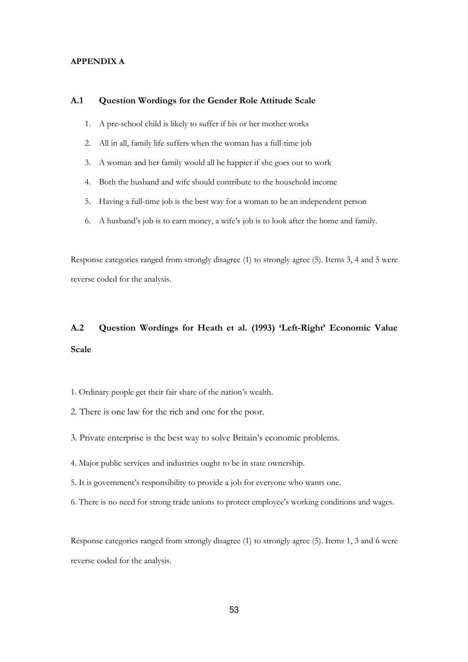#### APPENDIX A

#### A.1 Question Wordings for the Gender Role Attitude Scale

- 1. A pre-school child is likely to suffer if his or her mother works
- 2. All in all, family life suffers when the woman has a full-time job
- 3. A woman and her family would all be happier if she goes out to work
- 4. Both the husband and wife should contribute to the household income
- 5. Having a full-time job is the best way for a woman to be an independent person
- 6. A husband's job is to earn money, a wife's job is to look after the home and family.

Response categories ranged from strongly disagree (1) to strongly agree (5). Items 3, 4 and 5 were reverse coded for the analysis.

## A.2 Question Wordings for Heath et al. (1993) 'Left-Right' Economic Value Scale

- 1. Ordinary people get their fair share of the nation's wealth.
- 2. There is one law for the rich and one for the poor.
- 3. Private enterprise is the best way to solve Britain's economic problems.
- 4. Major public services and industries ought to be in state ownership.
- 5. It is government's responsibility to provide a job for everyone who wants one.
- 6. There is no need for strong trade unions to protect employee's working conditions and wages.

Response categories ranged from strongly disagree (1) to strongly agree (5). Items 1, 3 and 6 were reverse coded for the analysis.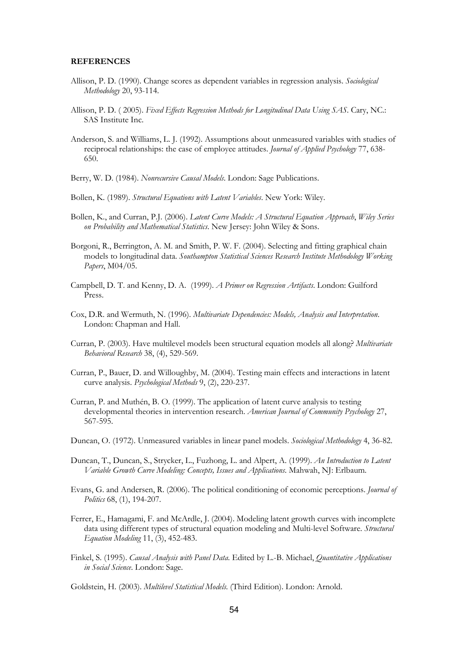#### REFERENCES

- Allison, P. D. (1990). Change scores as dependent variables in regression analysis. Sociological Methodology 20, 93-114.
- Allison, P. D. (2005). Fixed Effects Regression Methods for Longitudinal Data Using SAS. Cary, NC.: SAS Institute Inc.
- Anderson, S. and Williams, L. J. (1992). Assumptions about unmeasured variables with studies of reciprocal relationships: the case of employee attitudes. Journal of Applied Psychology 77, 638-650.
- Berry, W. D. (1984). Nonrecursive Causal Models. London: Sage Publications.
- Bollen, K. (1989). Structural Equations with Latent Variables. New York: Wiley.
- Bollen, K., and Curran, P.J. (2006). Latent Curve Models: A Structural Equation Approach, Wiley Series on Probability and Mathematical Statistics. New Jersey: John Wiley & Sons.
- Borgoni, R., Berrington, A. M. and Smith, P. W. F. (2004). Selecting and fitting graphical chain models to longitudinal data. Southampton Statistical Sciences Research Institute Methodology Working Papers, M04/05.
- Campbell, D. T. and Kenny, D. A. (1999). A Primer on Regression Artifacts. London: Guilford Press.
- Cox, D.R. and Wermuth, N. (1996). Multivariate Dependencies: Models, Analysis and Interpretation. London: Chapman and Hall.
- Curran, P. (2003). Have multilevel models been structural equation models all along? Multivariate Behavioral Research 38, (4), 529-569.
- Curran, P., Bauer, D. and Willoughby, M. (2004). Testing main effects and interactions in latent curve analysis. Psychological Methods 9, (2), 220-237.
- Curran, P. and Muthén, B. O. (1999). The application of latent curve analysis to testing developmental theories in intervention research. American Journal of Community Psychology 27, 567-595.
- Duncan, O. (1972). Unmeasured variables in linear panel models. Sociological Methodology 4, 36-82.
- Duncan, T., Duncan, S., Strycker, L., Fuzhong, L. and Alpert, A. (1999). An Introduction to Latent Variable Growth Curve Modeling: Concepts, Issues and Applications. Mahwah, NJ: Erlbaum.
- Evans, G. and Andersen, R. (2006). The political conditioning of economic perceptions. Journal of Politics 68, (1), 194-207.
- Ferrer, E., Hamagami, F. and McArdle, J. (2004). Modeling latent growth curves with incomplete data using different types of structural equation modeling and Multi-level Software. Structural Equation Modeling 11, (3), 452-483.
- Finkel, S. (1995). Causal Analysis with Panel Data. Edited by L.-B. Michael, Quantitative Applications in Social Science. London: Sage.
- Goldstein, H. (2003). Multilevel Statistical Models. (Third Edition). London: Arnold.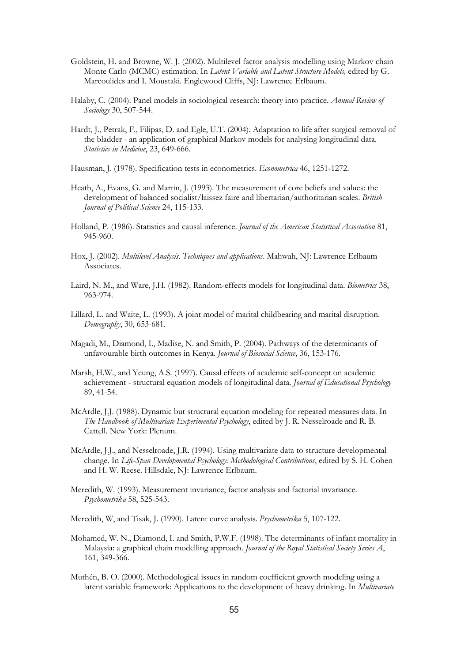- Goldstein, H. and Browne, W. J. (2002). Multilevel factor analysis modelling using Markov chain Monte Carlo (MCMC) estimation. In Latent Variable and Latent Structure Models, edited by G. Marcoulides and I. Moustaki. Englewood Cliffs, NJ: Lawrence Erlbaum.
- Halaby, C. (2004). Panel models in sociological research: theory into practice. Annual Review of Sociology 30, 507-544.
- Hardt, J., Petrak, F., Filipas, D. and Egle, U.T. (2004). Adaptation to life after surgical removal of the bladder - an application of graphical Markov models for analysing longitudinal data. Statistics in Medicine, 23, 649-666.
- Hausman, J. (1978). Specification tests in econometrics. Econometrica 46, 1251-1272.
- Heath, A., Evans, G. and Martin, J. (1993). The measurement of core beliefs and values: the development of balanced socialist/laissez faire and libertarian/authoritarian scales. British Journal of Political Science 24, 115-133.
- Holland, P. (1986). Statistics and causal inference. Journal of the American Statistical Association 81, 945-960.
- Hox, J. (2002). Multilevel Analysis. Techniques and applications. Mahwah, NJ: Lawrence Erlbaum Associates.
- Laird, N. M., and Ware, J.H. (1982). Random-effects models for longitudinal data. Biometrics 38, 963-974.
- Lillard, L. and Waite, L. (1993). A joint model of marital childbearing and marital disruption. Demography, 30, 653-681.
- Magadi, M., Diamond, I., Madise, N. and Smith, P. (2004). Pathways of the determinants of unfavourable birth outcomes in Kenya. Journal of Biosocial Science, 36, 153-176.
- Marsh, H.W., and Yeung, A.S. (1997). Causal effects of academic self-concept on academic achievement - structural equation models of longitudinal data. Journal of Educational Psychology 89, 41-54.
- McArdle, J.J. (1988). Dynamic but structural equation modeling for repeated measures data. In The Handbook of Multivariate Experimental Psychology, edited by J. R. Nesselroade and R. B. Cattell. New York: Plenum.
- McArdle, J.J., and Nesselroade, J.R. (1994). Using multivariate data to structure developmental change. In Life-Span Developmental Psychology: Methodological Contributions, edited by S. H. Cohen and H. W. Reese. Hillsdale, NJ: Lawrence Erlbaum.
- Meredith, W. (1993). Measurement invariance, factor analysis and factorial invariance. Psychometrika 58, 525-543.
- Meredith, W, and Tisak, J. (1990). Latent curve analysis. Psychometrika 5, 107-122.
- Mohamed, W. N., Diamond, I. and Smith, P.W.F. (1998). The determinants of infant mortality in Malaysia: a graphical chain modelling approach. Journal of the Royal Statistical Society Series A, 161, 349-366.
- Muthén, B. O. (2000). Methodological issues in random coefficient growth modeling using a latent variable framework: Applications to the development of heavy drinking. In *Multivariate*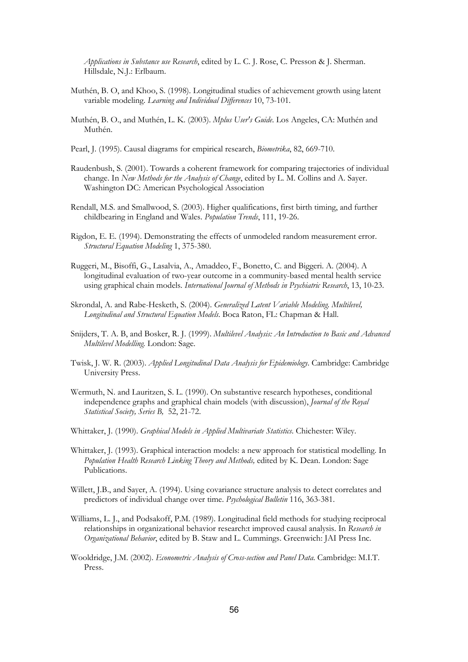Applications in Substance use Research, edited by L. C. J. Rose, C. Presson & J. Sherman. Hillsdale, N.J.: Erlbaum.

- Muthén, B. O, and Khoo, S. (1998). Longitudinal studies of achievement growth using latent variable modeling. Learning and Individual Differences 10, 73-101.
- Muthén, B. O., and Muthén, L. K. (2003). *Mplus User's Guide*. Los Angeles, CA: Muthén and Muthén.
- Pearl, J. (1995). Causal diagrams for empirical research, Biometrika, 82, 669-710.
- Raudenbush, S. (2001). Towards a coherent framework for comparing trajectories of individual change. In New Methods for the Analysis of Change, edited by L. M. Collins and A. Sayer. Washington DC: American Psychological Association
- Rendall, M.S. and Smallwood, S. (2003). Higher qualifications, first birth timing, and further childbearing in England and Wales. Population Trends, 111, 19-26.
- Rigdon, E. E. (1994). Demonstrating the effects of unmodeled random measurement error. Structural Equation Modeling 1, 375-380.
- Ruggeri, M., Bisoffi, G., Lasalvia, A., Amaddeo, F., Bonetto, C. and Biggeri. A. (2004). A longitudinal evaluation of two-year outcome in a community-based mental health service using graphical chain models. International Journal of Methods in Psychiatric Research, 13, 10-23.
- Skrondal, A. and Rabe-Hesketh, S. (2004). Generalized Latent Variable Modeling. Multilevel, Longitudinal and Structural Equation Models. Boca Raton, FL: Chapman & Hall.
- Snijders, T. A. B, and Bosker, R. J. (1999). Multilevel Analysis: An Introduction to Basic and Advanced Multilevel Modelling. London: Sage.
- Twisk, J. W. R. (2003). Applied Longitudinal Data Analysis for Epidemiology. Cambridge: Cambridge University Press.
- Wermuth, N. and Lauritzen, S. L. (1990). On substantive research hypotheses, conditional independence graphs and graphical chain models (with discussion), *Journal of the Royal* Statistical Society, Series B, 52, 21-72.
- Whittaker, J. (1990). Graphical Models in Applied Multivariate Statistics. Chichester: Wiley.
- Whittaker, J. (1993). Graphical interaction models: a new approach for statistical modelling. In Population Health Research Linking Theory and Methods, edited by K. Dean. London: Sage Publications.
- Willett, J.B., and Sayer, A. (1994). Using covariance structure analysis to detect correlates and predictors of individual change over time. Psychological Bulletin 116, 363-381.
- Williams, L. J., and Podsakoff, P.M. (1989). Longitudinal field methods for studying reciprocal relationships in organizational behavior research:t improved causal analysis. In Research in Organizational Behavior, edited by B. Staw and L. Cummings. Greenwich: JAI Press Inc.
- Wooldridge, J.M. (2002). Econometric Analysis of Cross-section and Panel Data. Cambridge: M.I.T. Press.